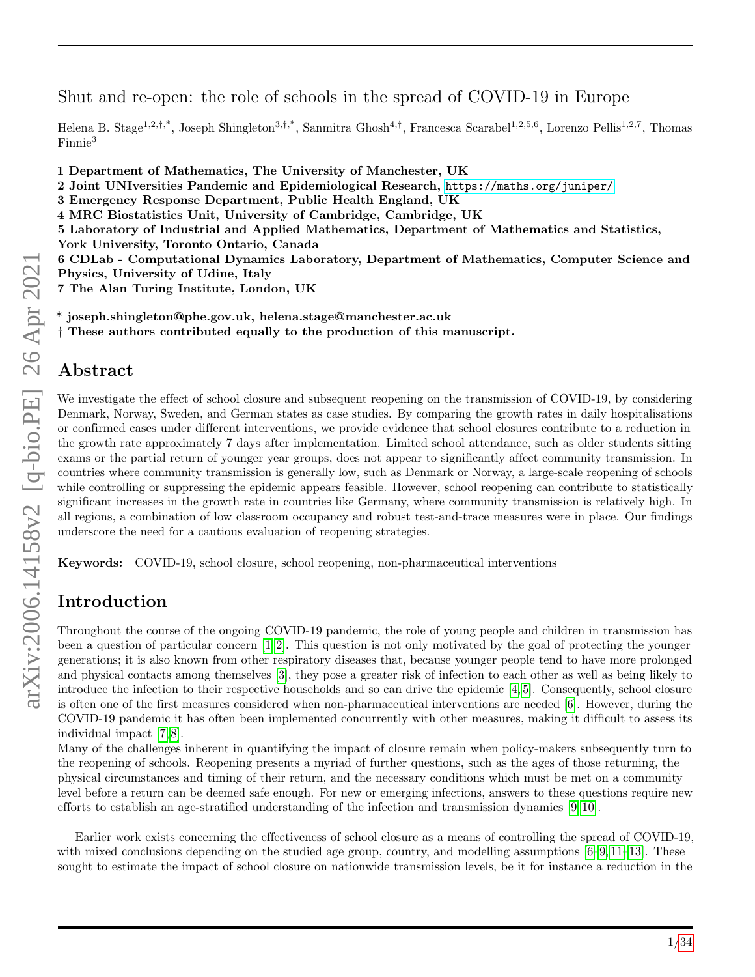Shut and re-open: the role of schools in the spread of COVID-19 in Europe

Helena B. Stage<sup>1,2,†,\*</sup>, Joseph Shingleton<sup>3,†,\*</sup>, Sanmitra Ghosh<sup>4,†</sup>, Francesca Scarabel<sup>1,2,5,6</sup>, Lorenzo Pellis<sup>1,2,7</sup>, Thomas Finnie<sup>3</sup>

1 Department of Mathematics, The University of Manchester, UK

- 2 Joint UNIversities Pandemic and Epidemiological Research, <https://maths.org/juniper/>
- 3 Emergency Response Department, Public Health England, UK
- 4 MRC Biostatistics Unit, University of Cambridge, Cambridge, UK

5 Laboratory of Industrial and Applied Mathematics, Department of Mathematics and Statistics,

York University, Toronto Ontario, Canada

6 CDLab - Computational Dynamics Laboratory, Department of Mathematics, Computer Science and Physics, University of Udine, Italy

7 The Alan Turing Institute, London, UK

\* joseph.shingleton@phe.gov.uk, helena.stage@manchester.ac.uk

† These authors contributed equally to the production of this manuscript.

## Abstract

We investigate the effect of school closure and subsequent reopening on the transmission of COVID-19, by considering Denmark, Norway, Sweden, and German states as case studies. By comparing the growth rates in daily hospitalisations or confirmed cases under different interventions, we provide evidence that school closures contribute to a reduction in the growth rate approximately 7 days after implementation. Limited school attendance, such as older students sitting exams or the partial return of younger year groups, does not appear to significantly affect community transmission. In countries where community transmission is generally low, such as Denmark or Norway, a large-scale reopening of schools while controlling or suppressing the epidemic appears feasible. However, school reopening can contribute to statistically significant increases in the growth rate in countries like Germany, where community transmission is relatively high. In all regions, a combination of low classroom occupancy and robust test-and-trace measures were in place. Our findings underscore the need for a cautious evaluation of reopening strategies.

Keywords: COVID-19, school closure, school reopening, non-pharmaceutical interventions

# Introduction

Throughout the course of the ongoing COVID-19 pandemic, the role of young people and children in transmission has been a question of particular concern [\[1,](#page-13-0) [2\]](#page-14-0). This question is not only motivated by the goal of protecting the younger generations; it is also known from other respiratory diseases that, because younger people tend to have more prolonged and physical contacts among themselves [\[3\]](#page-14-1), they pose a greater risk of infection to each other as well as being likely to introduce the infection to their respective households and so can drive the epidemic [\[4,](#page-14-2) [5\]](#page-14-3). Consequently, school closure is often one of the first measures considered when non-pharmaceutical interventions are needed [\[6\]](#page-14-4). However, during the COVID-19 pandemic it has often been implemented concurrently with other measures, making it difficult to assess its individual impact [\[7,](#page-14-5) [8\]](#page-14-6).

Many of the challenges inherent in quantifying the impact of closure remain when policy-makers subsequently turn to the reopening of schools. Reopening presents a myriad of further questions, such as the ages of those returning, the physical circumstances and timing of their return, and the necessary conditions which must be met on a community level before a return can be deemed safe enough. For new or emerging infections, answers to these questions require new efforts to establish an age-stratified understanding of the infection and transmission dynamics [\[9,](#page-14-7) [10\]](#page-14-8).

Earlier work exists concerning the effectiveness of school closure as a means of controlling the spread of COVID-19, with mixed conclusions depending on the studied age group, country, and modelling assumptions [\[6–](#page-14-4)[9,](#page-14-7)11–[13\]](#page-15-0). These sought to estimate the impact of school closure on nationwide transmission levels, be it for instance a reduction in the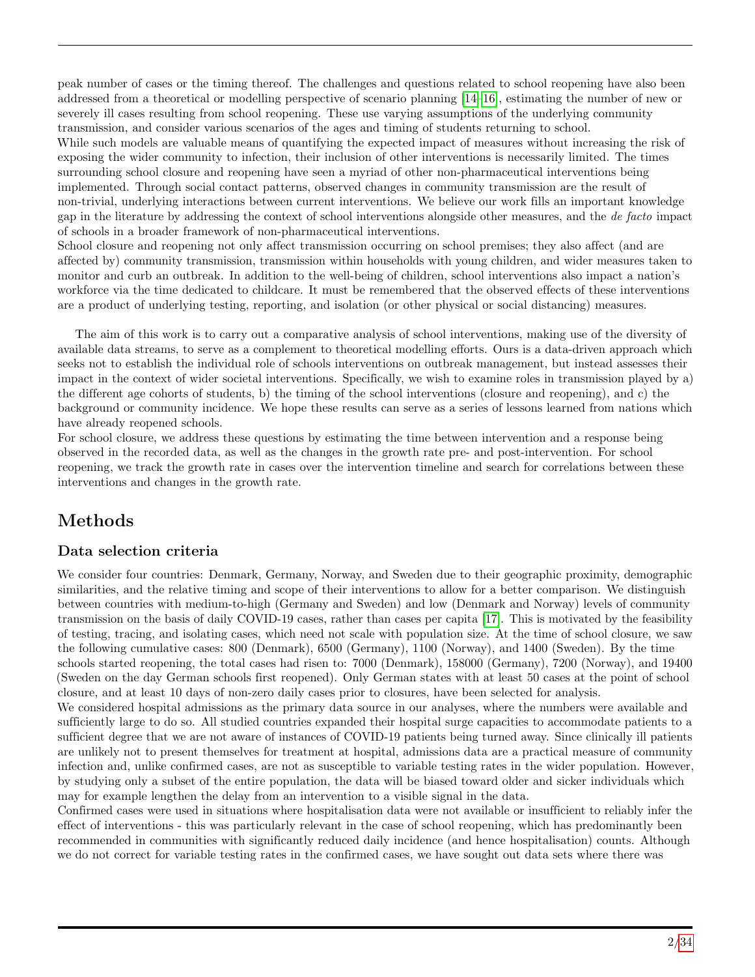peak number of cases or the timing thereof. The challenges and questions related to school reopening have also been addressed from a theoretical or modelling perspective of scenario planning [\[14–](#page-15-1)[16\]](#page-15-2), estimating the number of new or severely ill cases resulting from school reopening. These use varying assumptions of the underlying community transmission, and consider various scenarios of the ages and timing of students returning to school. While such models are valuable means of quantifying the expected impact of measures without increasing the risk of exposing the wider community to infection, their inclusion of other interventions is necessarily limited. The times surrounding school closure and reopening have seen a myriad of other non-pharmaceutical interventions being implemented. Through social contact patterns, observed changes in community transmission are the result of non-trivial, underlying interactions between current interventions. We believe our work fills an important knowledge gap in the literature by addressing the context of school interventions alongside other measures, and the de facto impact of schools in a broader framework of non-pharmaceutical interventions.

School closure and reopening not only affect transmission occurring on school premises; they also affect (and are affected by) community transmission, transmission within households with young children, and wider measures taken to monitor and curb an outbreak. In addition to the well-being of children, school interventions also impact a nation's workforce via the time dedicated to childcare. It must be remembered that the observed effects of these interventions are a product of underlying testing, reporting, and isolation (or other physical or social distancing) measures.

The aim of this work is to carry out a comparative analysis of school interventions, making use of the diversity of available data streams, to serve as a complement to theoretical modelling efforts. Ours is a data-driven approach which seeks not to establish the individual role of schools interventions on outbreak management, but instead assesses their impact in the context of wider societal interventions. Specifically, we wish to examine roles in transmission played by a) the different age cohorts of students, b) the timing of the school interventions (closure and reopening), and c) the background or community incidence. We hope these results can serve as a series of lessons learned from nations which have already reopened schools.

For school closure, we address these questions by estimating the time between intervention and a response being observed in the recorded data, as well as the changes in the growth rate pre- and post-intervention. For school reopening, we track the growth rate in cases over the intervention timeline and search for correlations between these interventions and changes in the growth rate.

# Methods

## Data selection criteria

We consider four countries: Denmark, Germany, Norway, and Sweden due to their geographic proximity, demographic similarities, and the relative timing and scope of their interventions to allow for a better comparison. We distinguish between countries with medium-to-high (Germany and Sweden) and low (Denmark and Norway) levels of community transmission on the basis of daily COVID-19 cases, rather than cases per capita [\[17\]](#page-15-3). This is motivated by the feasibility of testing, tracing, and isolating cases, which need not scale with population size. At the time of school closure, we saw the following cumulative cases: 800 (Denmark), 6500 (Germany), 1100 (Norway), and 1400 (Sweden). By the time schools started reopening, the total cases had risen to: 7000 (Denmark), 158000 (Germany), 7200 (Norway), and 19400 (Sweden on the day German schools first reopened). Only German states with at least 50 cases at the point of school closure, and at least 10 days of non-zero daily cases prior to closures, have been selected for analysis.

We considered hospital admissions as the primary data source in our analyses, where the numbers were available and sufficiently large to do so. All studied countries expanded their hospital surge capacities to accommodate patients to a sufficient degree that we are not aware of instances of COVID-19 patients being turned away. Since clinically ill patients are unlikely not to present themselves for treatment at hospital, admissions data are a practical measure of community infection and, unlike confirmed cases, are not as susceptible to variable testing rates in the wider population. However, by studying only a subset of the entire population, the data will be biased toward older and sicker individuals which may for example lengthen the delay from an intervention to a visible signal in the data.

Confirmed cases were used in situations where hospitalisation data were not available or insufficient to reliably infer the effect of interventions - this was particularly relevant in the case of school reopening, which has predominantly been recommended in communities with significantly reduced daily incidence (and hence hospitalisation) counts. Although we do not correct for variable testing rates in the confirmed cases, we have sought out data sets where there was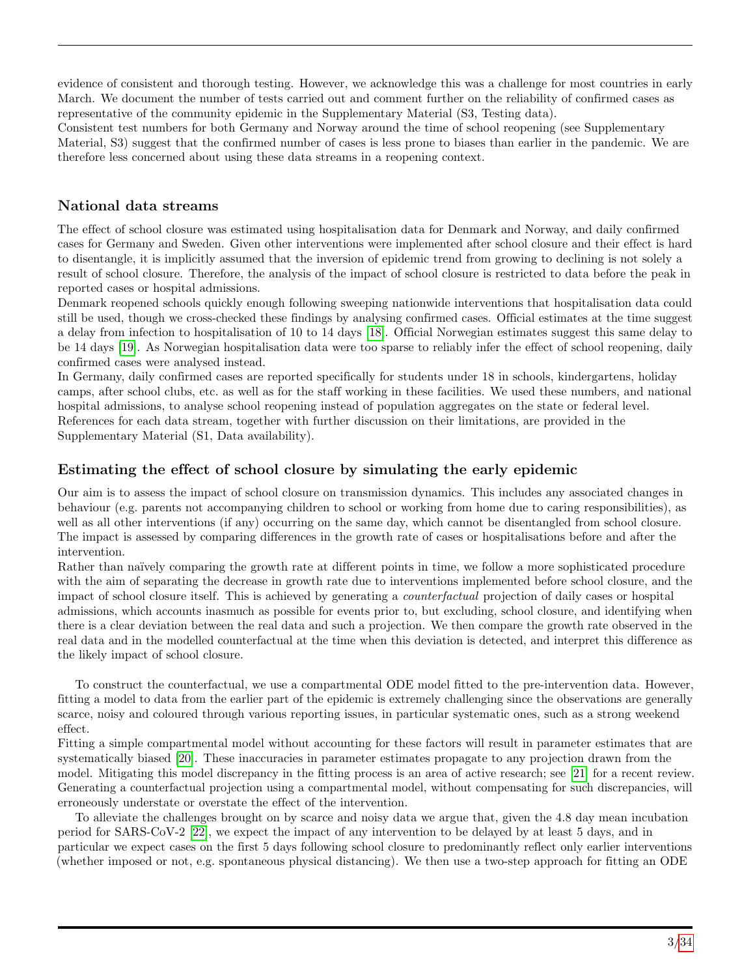evidence of consistent and thorough testing. However, we acknowledge this was a challenge for most countries in early March. We document the number of tests carried out and comment further on the reliability of confirmed cases as representative of the community epidemic in the Supplementary Material (S3, Testing data).

Consistent test numbers for both Germany and Norway around the time of school reopening (see Supplementary Material, S3) suggest that the confirmed number of cases is less prone to biases than earlier in the pandemic. We are therefore less concerned about using these data streams in a reopening context.

## National data streams

The effect of school closure was estimated using hospitalisation data for Denmark and Norway, and daily confirmed cases for Germany and Sweden. Given other interventions were implemented after school closure and their effect is hard to disentangle, it is implicitly assumed that the inversion of epidemic trend from growing to declining is not solely a result of school closure. Therefore, the analysis of the impact of school closure is restricted to data before the peak in reported cases or hospital admissions.

Denmark reopened schools quickly enough following sweeping nationwide interventions that hospitalisation data could still be used, though we cross-checked these findings by analysing confirmed cases. Official estimates at the time suggest a delay from infection to hospitalisation of 10 to 14 days [\[18\]](#page-15-4). Official Norwegian estimates suggest this same delay to be 14 days [\[19\]](#page-15-5). As Norwegian hospitalisation data were too sparse to reliably infer the effect of school reopening, daily confirmed cases were analysed instead.

In Germany, daily confirmed cases are reported specifically for students under 18 in schools, kindergartens, holiday camps, after school clubs, etc. as well as for the staff working in these facilities. We used these numbers, and national hospital admissions, to analyse school reopening instead of population aggregates on the state or federal level. References for each data stream, together with further discussion on their limitations, are provided in the Supplementary Material (S1, Data availability).

## Estimating the effect of school closure by simulating the early epidemic

Our aim is to assess the impact of school closure on transmission dynamics. This includes any associated changes in behaviour (e.g. parents not accompanying children to school or working from home due to caring responsibilities), as well as all other interventions (if any) occurring on the same day, which cannot be disentangled from school closure. The impact is assessed by comparing differences in the growth rate of cases or hospitalisations before and after the intervention.

Rather than naïvely comparing the growth rate at different points in time, we follow a more sophisticated procedure with the aim of separating the decrease in growth rate due to interventions implemented before school closure, and the impact of school closure itself. This is achieved by generating a counterfactual projection of daily cases or hospital admissions, which accounts inasmuch as possible for events prior to, but excluding, school closure, and identifying when there is a clear deviation between the real data and such a projection. We then compare the growth rate observed in the real data and in the modelled counterfactual at the time when this deviation is detected, and interpret this difference as the likely impact of school closure.

To construct the counterfactual, we use a compartmental ODE model fitted to the pre-intervention data. However, fitting a model to data from the earlier part of the epidemic is extremely challenging since the observations are generally scarce, noisy and coloured through various reporting issues, in particular systematic ones, such as a strong weekend effect.

Fitting a simple compartmental model without accounting for these factors will result in parameter estimates that are systematically biased [\[20\]](#page-15-6). These inaccuracies in parameter estimates propagate to any projection drawn from the model. Mitigating this model discrepancy in the fitting process is an area of active research; see [\[21\]](#page-15-7) for a recent review. Generating a counterfactual projection using a compartmental model, without compensating for such discrepancies, will erroneously understate or overstate the effect of the intervention.

To alleviate the challenges brought on by scarce and noisy data we argue that, given the 4.8 day mean incubation period for SARS-CoV-2 [\[22\]](#page-15-8), we expect the impact of any intervention to be delayed by at least 5 days, and in particular we expect cases on the first 5 days following school closure to predominantly reflect only earlier interventions (whether imposed or not, e.g. spontaneous physical distancing). We then use a two-step approach for fitting an ODE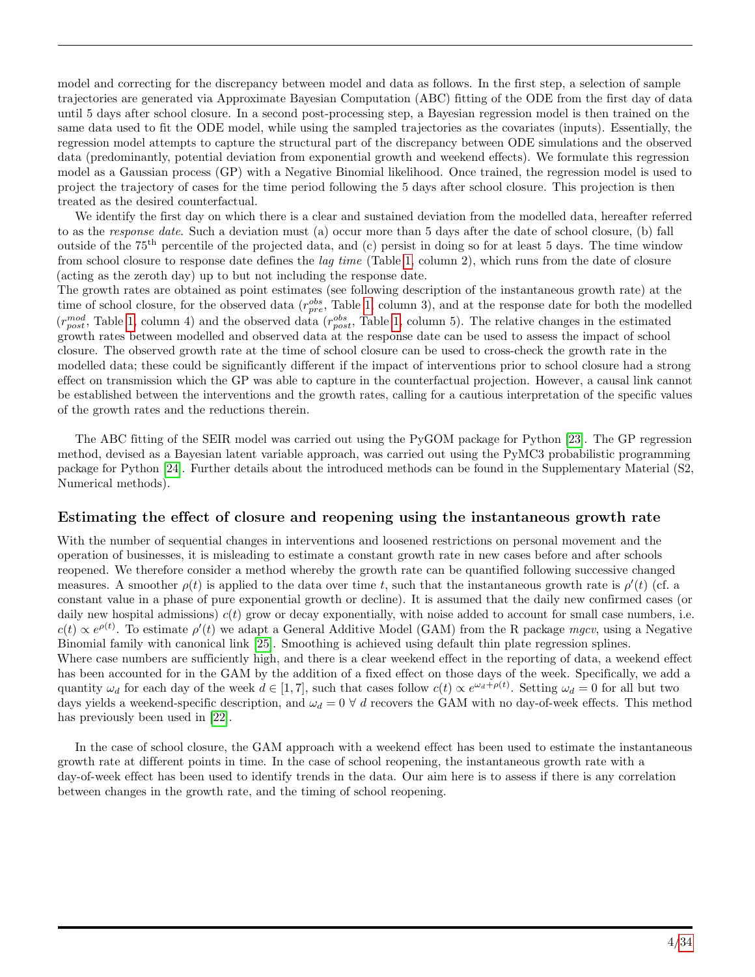model and correcting for the discrepancy between model and data as follows. In the first step, a selection of sample trajectories are generated via Approximate Bayesian Computation (ABC) fitting of the ODE from the first day of data until 5 days after school closure. In a second post-processing step, a Bayesian regression model is then trained on the same data used to fit the ODE model, while using the sampled trajectories as the covariates (inputs). Essentially, the regression model attempts to capture the structural part of the discrepancy between ODE simulations and the observed data (predominantly, potential deviation from exponential growth and weekend effects). We formulate this regression model as a Gaussian process (GP) with a Negative Binomial likelihood. Once trained, the regression model is used to project the trajectory of cases for the time period following the 5 days after school closure. This projection is then treated as the desired counterfactual.

We identify the first day on which there is a clear and sustained deviation from the modelled data, hereafter referred to as the response date. Such a deviation must (a) occur more than 5 days after the date of school closure, (b) fall outside of the 75th percentile of the projected data, and (c) persist in doing so for at least 5 days. The time window from school closure to response date defines the lag time (Table [1,](#page-4-0) column 2), which runs from the date of closure (acting as the zeroth day) up to but not including the response date.

The growth rates are obtained as point estimates (see following description of the instantaneous growth rate) at the time of school closure, for the observed data  $(r_{pre}^{obs},$  Table [1,](#page-4-0) column 3), and at the response date for both the modelled  $(r_{post}^{mod}$ , Table [1,](#page-4-0) column 4) and the observed data  $(r_{post}^{obs}$ , Table 1, column 5). The relative changes in the estimated growth rates between modelled and observed data at the response date can be used to assess the impact of school closure. The observed growth rate at the time of school closure can be used to cross-check the growth rate in the modelled data; these could be significantly different if the impact of interventions prior to school closure had a strong effect on transmission which the GP was able to capture in the counterfactual projection. However, a causal link cannot be established between the interventions and the growth rates, calling for a cautious interpretation of the specific values of the growth rates and the reductions therein.

The ABC fitting of the SEIR model was carried out using the PyGOM package for Python [\[23\]](#page-15-9). The GP regression method, devised as a Bayesian latent variable approach, was carried out using the PyMC3 probabilistic programming package for Python [\[24\]](#page-15-10). Further details about the introduced methods can be found in the Supplementary Material (S2, Numerical methods).

#### Estimating the effect of closure and reopening using the instantaneous growth rate

With the number of sequential changes in interventions and loosened restrictions on personal movement and the operation of businesses, it is misleading to estimate a constant growth rate in new cases before and after schools reopened. We therefore consider a method whereby the growth rate can be quantified following successive changed measures. A smoother  $\rho(t)$  is applied to the data over time t, such that the instantaneous growth rate is  $\rho'(t)$  (cf. a constant value in a phase of pure exponential growth or decline). It is assumed that the daily new confirmed cases (or daily new hospital admissions)  $c(t)$  grow or decay exponentially, with noise added to account for small case numbers, i.e.  $c(t) \propto e^{\rho(t)}$ . To estimate  $\rho'(t)$  we adapt a General Additive Model (GAM) from the R package mgcv, using a Negative Binomial family with canonical link [\[25\]](#page-15-11). Smoothing is achieved using default thin plate regression splines. Where case numbers are sufficiently high, and there is a clear weekend effect in the reporting of data, a weekend effect has been accounted for in the GAM by the addition of a fixed effect on those days of the week. Specifically, we add a quantity  $\omega_d$  for each day of the week  $d \in [1, 7]$ , such that cases follow  $c(t) \propto e^{\omega_d + \rho(t)}$ . Setting  $\omega_d = 0$  for all but two days yields a weekend-specific description, and  $\omega_d = 0 \forall d$  recovers the GAM with no day-of-week effects. This method has previously been used in [\[22\]](#page-15-8).

In the case of school closure, the GAM approach with a weekend effect has been used to estimate the instantaneous growth rate at different points in time. In the case of school reopening, the instantaneous growth rate with a day-of-week effect has been used to identify trends in the data. Our aim here is to assess if there is any correlation between changes in the growth rate, and the timing of school reopening.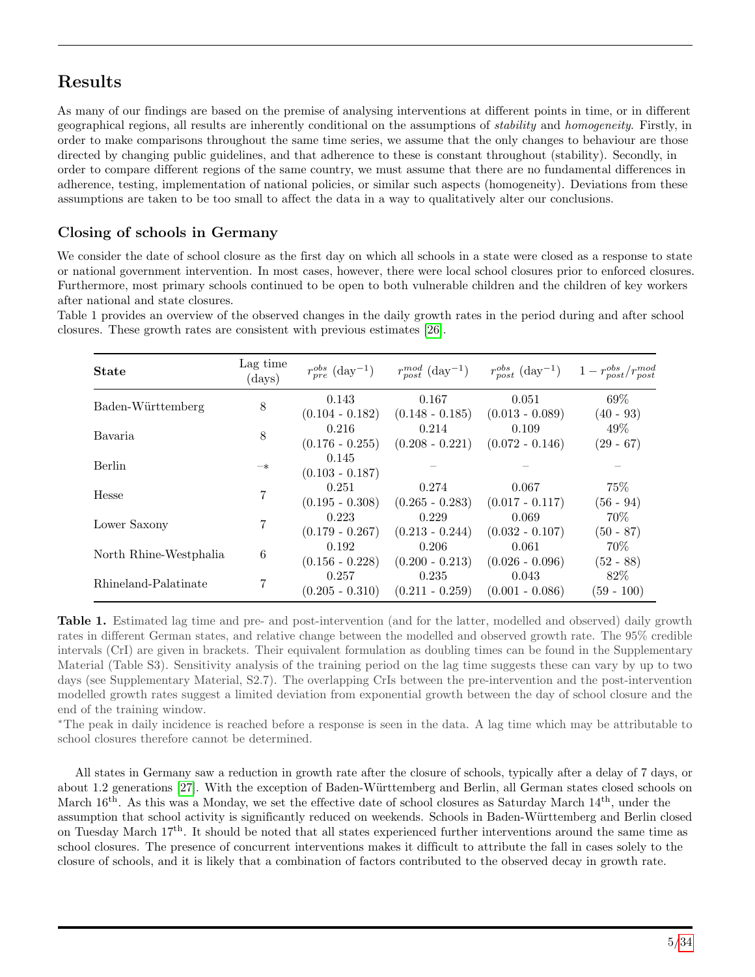# Results

As many of our findings are based on the premise of analysing interventions at different points in time, or in different geographical regions, all results are inherently conditional on the assumptions of stability and homogeneity. Firstly, in order to make comparisons throughout the same time series, we assume that the only changes to behaviour are those directed by changing public guidelines, and that adherence to these is constant throughout (stability). Secondly, in order to compare different regions of the same country, we must assume that there are no fundamental differences in adherence, testing, implementation of national policies, or similar such aspects (homogeneity). Deviations from these assumptions are taken to be too small to affect the data in a way to qualitatively alter our conclusions.

# Closing of schools in Germany

We consider the date of school closure as the first day on which all schools in a state were closed as a response to state or national government intervention. In most cases, however, there were local school closures prior to enforced closures. Furthermore, most primary schools continued to be open to both vulnerable children and the children of key workers after national and state closures.

<span id="page-4-0"></span>State Lag time  $(days)$  $_{pre}^{obs}$  (day<sup>-1</sup> )  $r_{post}^{mod}$  (day<sup>-1</sup>) )  $r_{post}^{obs}$  (day<sup>-1</sup>)  $)$  1 –  $r_{post}^{obs}/r_{post}^{mod}$ Baden-Württemberg 8 0.143  $(0.104 - 0.182)$ 0.167  $(0.148 - 0.185)$ 0.051  $(0.013 - 0.089)$ 69%  $(40 - 93)$ Bavaria  $8^{0.216}$  $(0.176 - 0.255)$ 0.214  $(0.208 - 0.221)$ 0.109  $(0.072 - 0.146)$ 49%  $(29 - 67)$ Berlin –∗ 0.145  $(0.103 - 0.187)$ Hesse  $\frac{0.251}{7}$  $(0.195 - 0.308)$ 0.274  $(0.265 - 0.283)$ 0.067  $(0.017 - 0.117)$ 75% (56 - 94) Lower Saxony  $\begin{array}{ccc} 7 & 0.223 \\ 7 & 6.178 \end{array}$  $(0.179 - 0.267)$ 0.229  $(0.213 - 0.244)$ 0.069  $(0.032 - 0.107)$ 70% (50 - 87) North Rhine-Westphalia 6 0.192  $(0.156 - 0.228)$ 0.206  $(0.200 - 0.213)$ 0.061  $(0.026 - 0.096)$ 70% (52 - 88) Rhineland-Palatinate  $\begin{array}{cc} 0.257 \\ 7 \end{array}$  (2.257)  $(0.205 - 0.310)$ 0.235  $(0.211 - 0.259)$ 0.043  $(0.001 - 0.086)$ 82% (59 - 100)

Table 1 provides an overview of the observed changes in the daily growth rates in the period during and after school closures. These growth rates are consistent with previous estimates [\[26\]](#page-15-12).

Table 1. Estimated lag time and pre- and post-intervention (and for the latter, modelled and observed) daily growth rates in different German states, and relative change between the modelled and observed growth rate. The 95% credible intervals (CrI) are given in brackets. Their equivalent formulation as doubling times can be found in the Supplementary Material (Table S3). Sensitivity analysis of the training period on the lag time suggests these can vary by up to two days (see Supplementary Material, S2.7). The overlapping CrIs between the pre-intervention and the post-intervention modelled growth rates suggest a limited deviation from exponential growth between the day of school closure and the end of the training window.

<sup>∗</sup>The peak in daily incidence is reached before a response is seen in the data. A lag time which may be attributable to school closures therefore cannot be determined.

All states in Germany saw a reduction in growth rate after the closure of schools, typically after a delay of 7 days, or about 1.2 generations [\[27\]](#page-15-13). With the exception of Baden-W¨urttemberg and Berlin, all German states closed schools on March  $16<sup>th</sup>$ . As this was a Monday, we set the effective date of school closures as Saturday March  $14<sup>th</sup>$ , under the assumption that school activity is significantly reduced on weekends. Schools in Baden-W¨urttemberg and Berlin closed on Tuesday March 17th. It should be noted that all states experienced further interventions around the same time as school closures. The presence of concurrent interventions makes it difficult to attribute the fall in cases solely to the closure of schools, and it is likely that a combination of factors contributed to the observed decay in growth rate.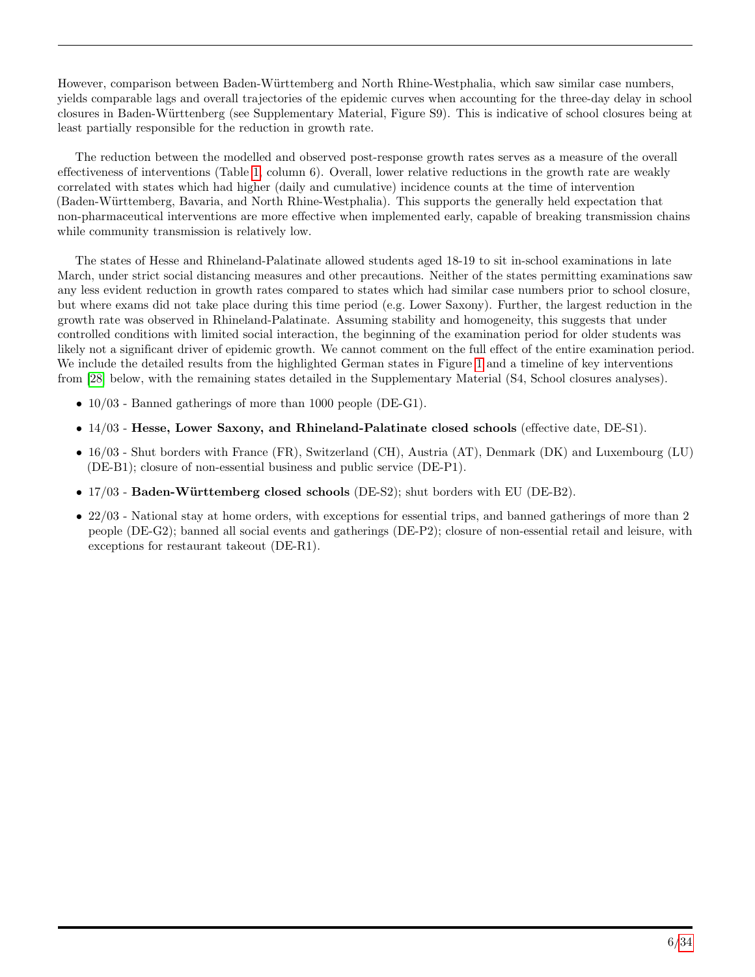However, comparison between Baden-W¨urttemberg and North Rhine-Westphalia, which saw similar case numbers, yields comparable lags and overall trajectories of the epidemic curves when accounting for the three-day delay in school closures in Baden-W¨urttenberg (see Supplementary Material, Figure S9). This is indicative of school closures being at least partially responsible for the reduction in growth rate.

The reduction between the modelled and observed post-response growth rates serves as a measure of the overall effectiveness of interventions (Table [1,](#page-4-0) column 6). Overall, lower relative reductions in the growth rate are weakly correlated with states which had higher (daily and cumulative) incidence counts at the time of intervention (Baden-W¨urttemberg, Bavaria, and North Rhine-Westphalia). This supports the generally held expectation that non-pharmaceutical interventions are more effective when implemented early, capable of breaking transmission chains while community transmission is relatively low.

The states of Hesse and Rhineland-Palatinate allowed students aged 18-19 to sit in-school examinations in late March, under strict social distancing measures and other precautions. Neither of the states permitting examinations saw any less evident reduction in growth rates compared to states which had similar case numbers prior to school closure, but where exams did not take place during this time period (e.g. Lower Saxony). Further, the largest reduction in the growth rate was observed in Rhineland-Palatinate. Assuming stability and homogeneity, this suggests that under controlled conditions with limited social interaction, the beginning of the examination period for older students was likely not a significant driver of epidemic growth. We cannot comment on the full effect of the entire examination period. We include the detailed results from the highlighted German states in Figure [1](#page-6-0) and a timeline of key interventions from [\[28\]](#page-15-14) below, with the remaining states detailed in the Supplementary Material (S4, School closures analyses).

- $10/03$  Banned gatherings of more than 1000 people (DE-G1).
- 14/03 Hesse, Lower Saxony, and Rhineland-Palatinate closed schools (effective date, DE-S1).
- 16/03 Shut borders with France (FR), Switzerland (CH), Austria (AT), Denmark (DK) and Luxembourg (LU) (DE-B1); closure of non-essential business and public service (DE-P1).
- 17/03 Baden-Württemberg closed schools (DE-S2); shut borders with EU (DE-B2).
- 22/03 National stay at home orders, with exceptions for essential trips, and banned gatherings of more than 2 people (DE-G2); banned all social events and gatherings (DE-P2); closure of non-essential retail and leisure, with exceptions for restaurant takeout (DE-R1).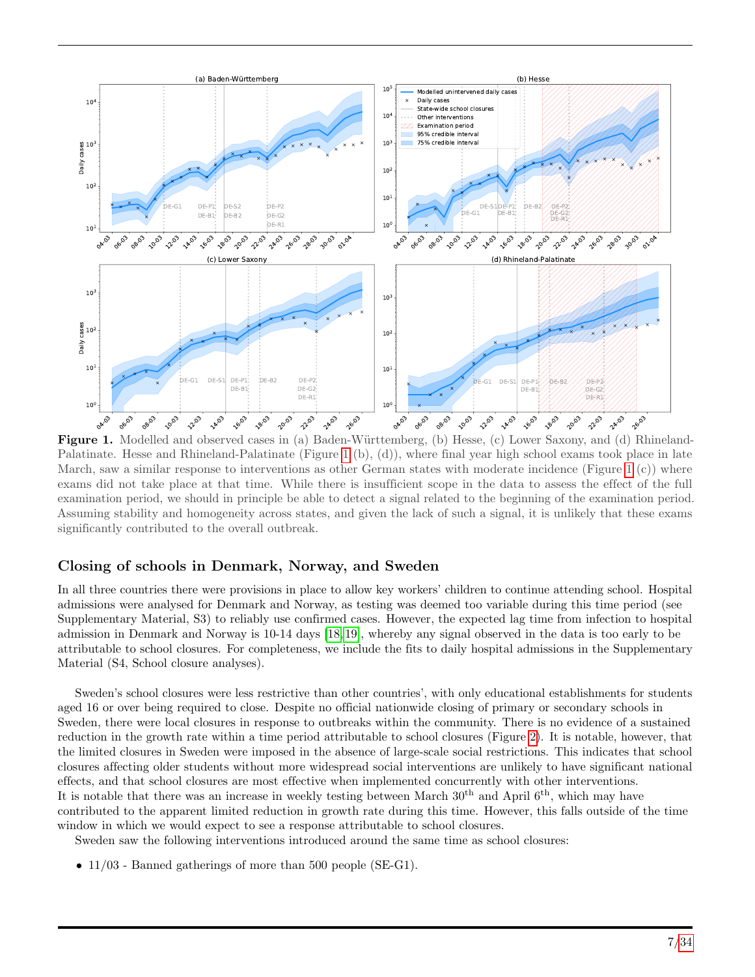<span id="page-6-0"></span>

Figure 1. Modelled and observed cases in (a) Baden-Württemberg, (b) Hesse, (c) Lower Saxony, and (d) Rhineland-Palatinate. Hesse and Rhineland-Palatinate (Figure [1](#page-6-0) (b), (d)), where final year high school exams took place in late March, saw a similar response to interventions as other German states with moderate incidence (Figure [1](#page-6-0)  $(c)$ ) where exams did not take place at that time. While there is insufficient scope in the data to assess the effect of the full examination period, we should in principle be able to detect a signal related to the beginning of the examination period. Assuming stability and homogeneity across states, and given the lack of such a signal, it is unlikely that these exams significantly contributed to the overall outbreak.

#### Closing of schools in Denmark, Norway, and Sweden

In all three countries there were provisions in place to allow key workers' children to continue attending school. Hospital admissions were analysed for Denmark and Norway, as testing was deemed too variable during this time period (see Supplementary Material, S3) to reliably use confirmed cases. However, the expected lag time from infection to hospital admission in Denmark and Norway is 10-14 days [\[18,](#page-15-4) [19\]](#page-15-5), whereby any signal observed in the data is too early to be attributable to school closures. For completeness, we include the fits to daily hospital admissions in the Supplementary Material (S4, School closure analyses).

Sweden's school closures were less restrictive than other countries', with only educational establishments for students aged 16 or over being required to close. Despite no official nationwide closing of primary or secondary schools in Sweden, there were local closures in response to outbreaks within the community. There is no evidence of a sustained reduction in the growth rate within a time period attributable to school closures (Figure [2\)](#page-7-0). It is notable, however, that the limited closures in Sweden were imposed in the absence of large-scale social restrictions. This indicates that school closures affecting older students without more widespread social interventions are unlikely to have significant national effects, and that school closures are most effective when implemented concurrently with other interventions. It is notable that there was an increase in weekly testing between March  $30<sup>th</sup>$  and April  $6<sup>th</sup>$ , which may have

contributed to the apparent limited reduction in growth rate during this time. However, this falls outside of the time window in which we would expect to see a response attributable to school closures.

Sweden saw the following interventions introduced around the same time as school closures:

• 11/03 - Banned gatherings of more than 500 people (SE-G1).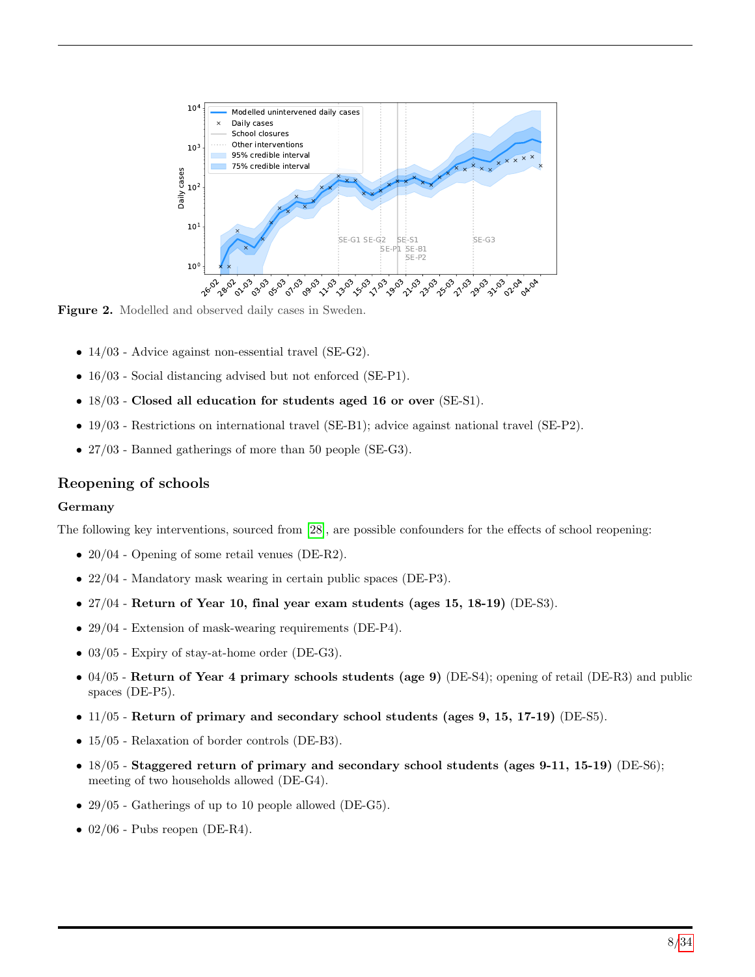<span id="page-7-0"></span>

Figure 2. Modelled and observed daily cases in Sweden.

- 14/03 Advice against non-essential travel (SE-G2).
- 16/03 Social distancing advised but not enforced (SE-P1).
- 18/03 Closed all education for students aged 16 or over (SE-S1).
- 19/03 Restrictions on international travel (SE-B1); advice against national travel (SE-P2).
- 27/03 Banned gatherings of more than 50 people (SE-G3).

#### Reopening of schools

#### Germany

The following key interventions, sourced from [\[28\]](#page-15-14), are possible confounders for the effects of school reopening:

- 20/04 Opening of some retail venues (DE-R2).
- 22/04 Mandatory mask wearing in certain public spaces (DE-P3).
- 27/04 Return of Year 10, final year exam students (ages 15, 18-19) (DE-S3).
- 29/04 Extension of mask-wearing requirements (DE-P4).
- 03/05 Expiry of stay-at-home order (DE-G3).
- 04/05 Return of Year 4 primary schools students (age 9) (DE-S4); opening of retail (DE-R3) and public spaces (DE-P5).
- 11/05 Return of primary and secondary school students (ages 9, 15, 17-19) (DE-S5).
- 15/05 Relaxation of border controls (DE-B3).
- 18/05 Staggered return of primary and secondary school students (ages 9-11, 15-19) (DE-S6); meeting of two households allowed (DE-G4).
- 29/05 Gatherings of up to 10 people allowed (DE-G5).
- $02/06$  Pubs reopen (DE-R4).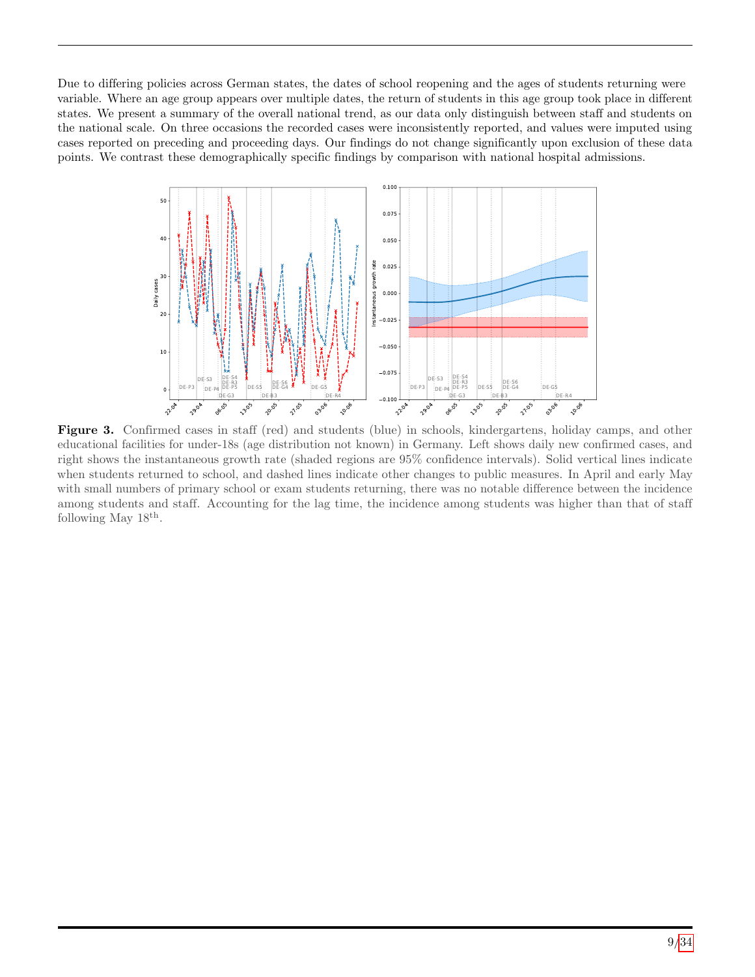Due to differing policies across German states, the dates of school reopening and the ages of students returning were variable. Where an age group appears over multiple dates, the return of students in this age group took place in different states. We present a summary of the overall national trend, as our data only distinguish between staff and students on the national scale. On three occasions the recorded cases were inconsistently reported, and values were imputed using cases reported on preceding and proceeding days. Our findings do not change significantly upon exclusion of these data points. We contrast these demographically specific findings by comparison with national hospital admissions.

<span id="page-8-0"></span>

Figure 3. Confirmed cases in staff (red) and students (blue) in schools, kindergartens, holiday camps, and other educational facilities for under-18s (age distribution not known) in Germany. Left shows daily new confirmed cases, and right shows the instantaneous growth rate (shaded regions are 95% confidence intervals). Solid vertical lines indicate when students returned to school, and dashed lines indicate other changes to public measures. In April and early May with small numbers of primary school or exam students returning, there was no notable difference between the incidence among students and staff. Accounting for the lag time, the incidence among students was higher than that of staff following May  $18^{th}$ .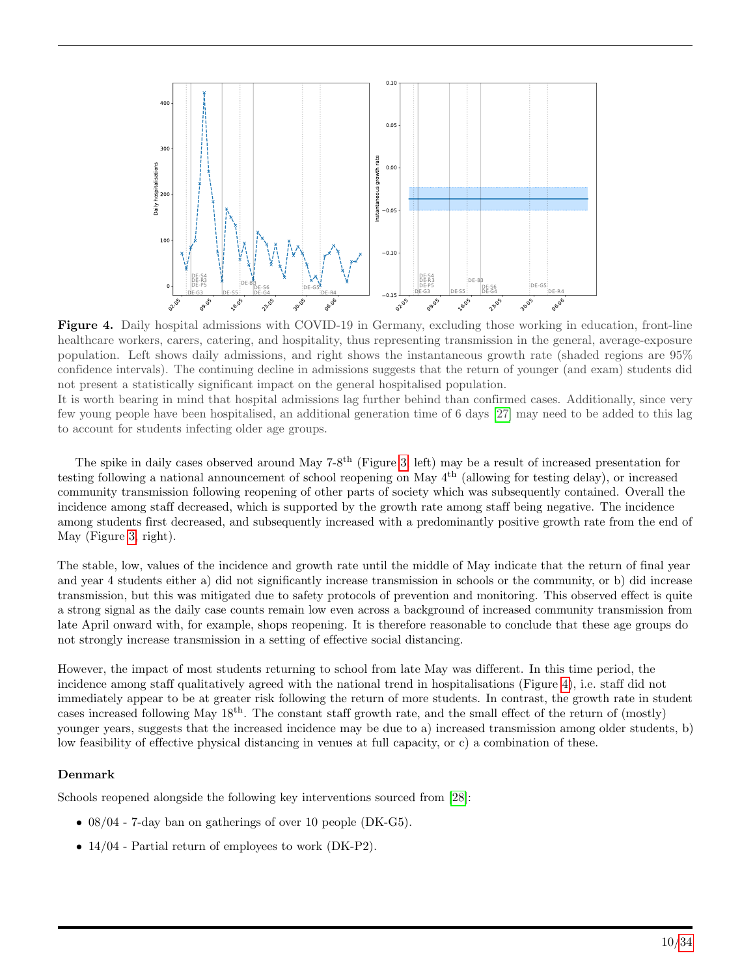<span id="page-9-0"></span>

Figure 4. Daily hospital admissions with COVID-19 in Germany, excluding those working in education, front-line healthcare workers, carers, catering, and hospitality, thus representing transmission in the general, average-exposure population. Left shows daily admissions, and right shows the instantaneous growth rate (shaded regions are 95% confidence intervals). The continuing decline in admissions suggests that the return of younger (and exam) students did not present a statistically significant impact on the general hospitalised population.

It is worth bearing in mind that hospital admissions lag further behind than confirmed cases. Additionally, since very few young people have been hospitalised, an additional generation time of 6 days [\[27\]](#page-15-13) may need to be added to this lag to account for students infecting older age groups.

The spike in daily cases observed around May 7-8<sup>th</sup> (Figure [3,](#page-8-0) left) may be a result of increased presentation for testing following a national announcement of school reopening on May 4th (allowing for testing delay), or increased community transmission following reopening of other parts of society which was subsequently contained. Overall the incidence among staff decreased, which is supported by the growth rate among staff being negative. The incidence among students first decreased, and subsequently increased with a predominantly positive growth rate from the end of May (Figure [3,](#page-8-0) right).

The stable, low, values of the incidence and growth rate until the middle of May indicate that the return of final year and year 4 students either a) did not significantly increase transmission in schools or the community, or b) did increase transmission, but this was mitigated due to safety protocols of prevention and monitoring. This observed effect is quite a strong signal as the daily case counts remain low even across a background of increased community transmission from late April onward with, for example, shops reopening. It is therefore reasonable to conclude that these age groups do not strongly increase transmission in a setting of effective social distancing.

However, the impact of most students returning to school from late May was different. In this time period, the incidence among staff qualitatively agreed with the national trend in hospitalisations (Figure [4\)](#page-9-0), i.e. staff did not immediately appear to be at greater risk following the return of more students. In contrast, the growth rate in student cases increased following May 18th. The constant staff growth rate, and the small effect of the return of (mostly) younger years, suggests that the increased incidence may be due to a) increased transmission among older students, b) low feasibility of effective physical distancing in venues at full capacity, or c) a combination of these.

#### Denmark

Schools reopened alongside the following key interventions sourced from [\[28\]](#page-15-14):

- 08/04 7-day ban on gatherings of over 10 people (DK-G5).
- 14/04 Partial return of employees to work (DK-P2).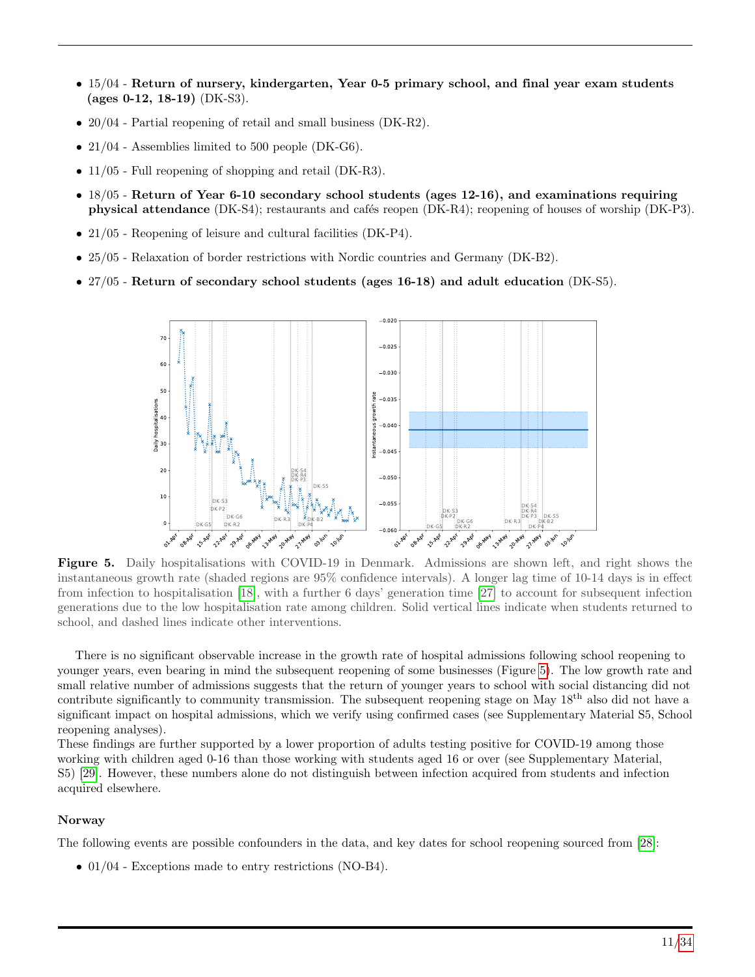- 15/04 Return of nursery, kindergarten, Year 0-5 primary school, and final year exam students (ages 0-12, 18-19) (DK-S3).
- 20/04 Partial reopening of retail and small business (DK-R2).
- 21/04 Assemblies limited to 500 people (DK-G6).
- 11/05 Full reopening of shopping and retail (DK-R3).
- 18/05 Return of Year 6-10 secondary school students (ages 12-16), and examinations requiring physical attendance (DK-S4); restaurants and cafés reopen (DK-R4); reopening of houses of worship (DK-P3).
- 21/05 Reopening of leisure and cultural facilities (DK-P4).
- 25/05 Relaxation of border restrictions with Nordic countries and Germany (DK-B2).
- <span id="page-10-0"></span>• 27/05 - Return of secondary school students (ages 16-18) and adult education (DK-S5).



Figure 5. Daily hospitalisations with COVID-19 in Denmark. Admissions are shown left, and right shows the instantaneous growth rate (shaded regions are 95% confidence intervals). A longer lag time of 10-14 days is in effect from infection to hospitalisation [\[18\]](#page-15-4), with a further 6 days' generation time [\[27\]](#page-15-13) to account for subsequent infection generations due to the low hospitalisation rate among children. Solid vertical lines indicate when students returned to school, and dashed lines indicate other interventions.

There is no significant observable increase in the growth rate of hospital admissions following school reopening to younger years, even bearing in mind the subsequent reopening of some businesses (Figure [5\)](#page-10-0). The low growth rate and small relative number of admissions suggests that the return of younger years to school with social distancing did not contribute significantly to community transmission. The subsequent reopening stage on May 18<sup>th</sup> also did not have a significant impact on hospital admissions, which we verify using confirmed cases (see Supplementary Material S5, School reopening analyses).

These findings are further supported by a lower proportion of adults testing positive for COVID-19 among those working with children aged 0-16 than those working with students aged 16 or over (see Supplementary Material, S5) [\[29\]](#page-15-15). However, these numbers alone do not distinguish between infection acquired from students and infection acquired elsewhere.

#### Norway

The following events are possible confounders in the data, and key dates for school reopening sourced from [\[28\]](#page-15-14):

• 01/04 - Exceptions made to entry restrictions (NO-B4).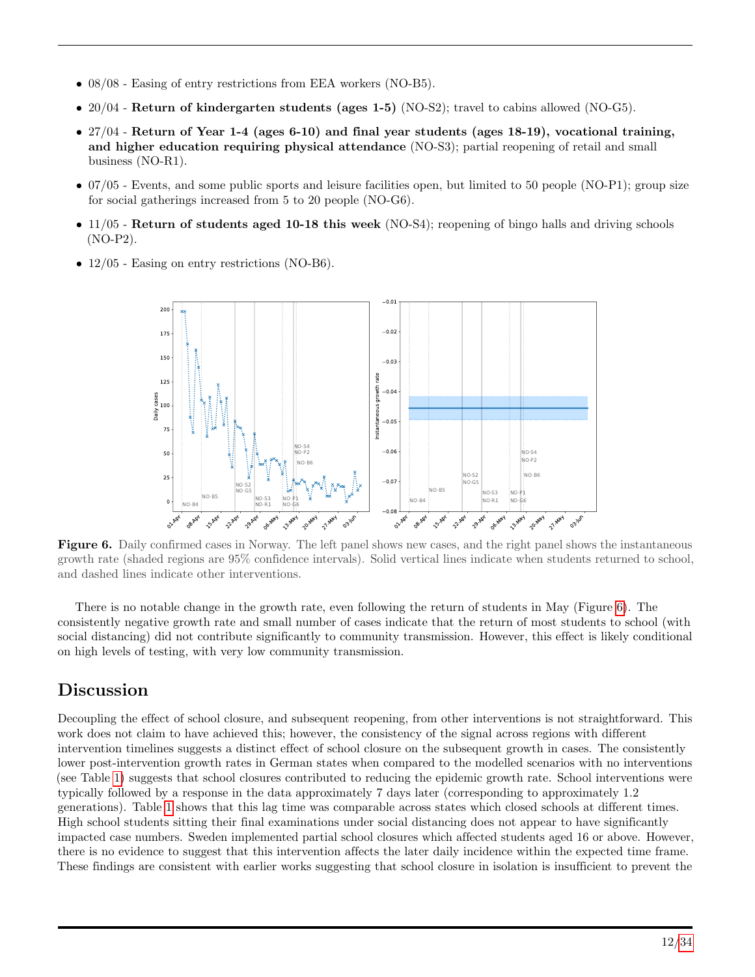- 08/08 Easing of entry restrictions from EEA workers (NO-B5).
- 20/04 Return of kindergarten students (ages 1-5) (NO-S2); travel to cabins allowed (NO-G5).
- 27/04 Return of Year 1-4 (ages 6-10) and final year students (ages 18-19), vocational training, and higher education requiring physical attendance (NO-S3); partial reopening of retail and small business (NO-R1).
- 07/05 Events, and some public sports and leisure facilities open, but limited to 50 people (NO-P1); group size for social gatherings increased from 5 to 20 people (NO-G6).
- $\bullet$  11/05 Return of students aged 10-18 this week (NO-S4); reopening of bingo halls and driving schools (NO-P2).
- <span id="page-11-0"></span>• 12/05 - Easing on entry restrictions (NO-B6).



Figure 6. Daily confirmed cases in Norway. The left panel shows new cases, and the right panel shows the instantaneous growth rate (shaded regions are 95% confidence intervals). Solid vertical lines indicate when students returned to school, and dashed lines indicate other interventions.

There is no notable change in the growth rate, even following the return of students in May (Figure [6\)](#page-11-0). The consistently negative growth rate and small number of cases indicate that the return of most students to school (with social distancing) did not contribute significantly to community transmission. However, this effect is likely conditional on high levels of testing, with very low community transmission.

# Discussion

Decoupling the effect of school closure, and subsequent reopening, from other interventions is not straightforward. This work does not claim to have achieved this; however, the consistency of the signal across regions with different intervention timelines suggests a distinct effect of school closure on the subsequent growth in cases. The consistently lower post-intervention growth rates in German states when compared to the modelled scenarios with no interventions (see Table [1\)](#page-4-0) suggests that school closures contributed to reducing the epidemic growth rate. School interventions were typically followed by a response in the data approximately 7 days later (corresponding to approximately 1.2 generations). Table [1](#page-4-0) shows that this lag time was comparable across states which closed schools at different times. High school students sitting their final examinations under social distancing does not appear to have significantly impacted case numbers. Sweden implemented partial school closures which affected students aged 16 or above. However, there is no evidence to suggest that this intervention affects the later daily incidence within the expected time frame. These findings are consistent with earlier works suggesting that school closure in isolation is insufficient to prevent the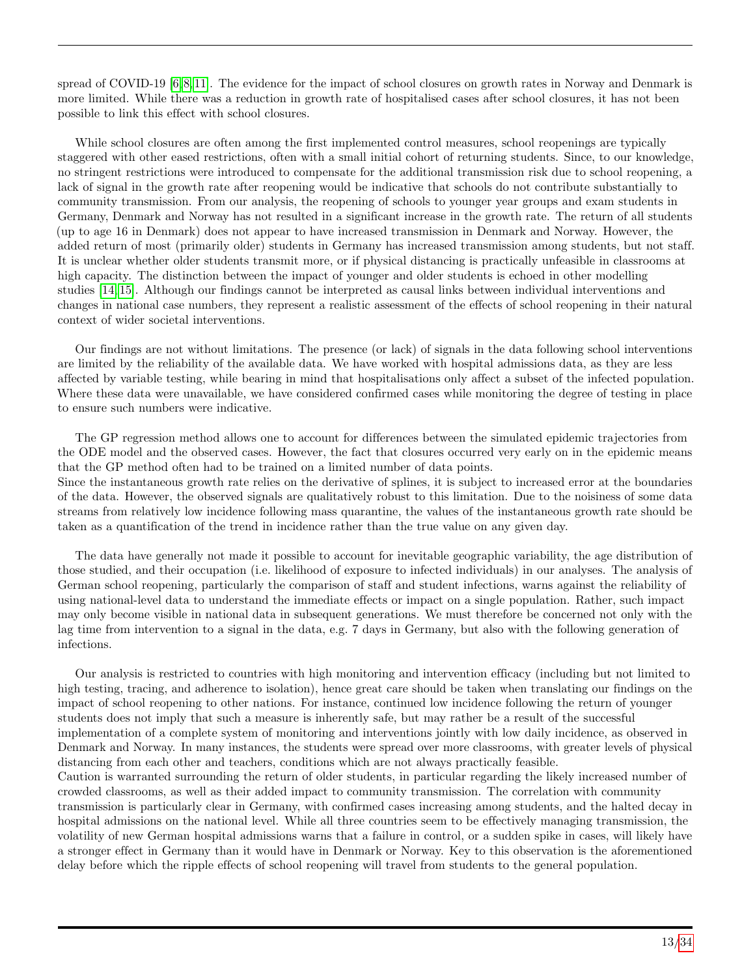spread of COVID-19  $[6, 8, 11]$  $[6, 8, 11]$  $[6, 8, 11]$ . The evidence for the impact of school closures on growth rates in Norway and Denmark is more limited. While there was a reduction in growth rate of hospitalised cases after school closures, it has not been possible to link this effect with school closures.

While school closures are often among the first implemented control measures, school reopenings are typically staggered with other eased restrictions, often with a small initial cohort of returning students. Since, to our knowledge, no stringent restrictions were introduced to compensate for the additional transmission risk due to school reopening, a lack of signal in the growth rate after reopening would be indicative that schools do not contribute substantially to community transmission. From our analysis, the reopening of schools to younger year groups and exam students in Germany, Denmark and Norway has not resulted in a significant increase in the growth rate. The return of all students (up to age 16 in Denmark) does not appear to have increased transmission in Denmark and Norway. However, the added return of most (primarily older) students in Germany has increased transmission among students, but not staff. It is unclear whether older students transmit more, or if physical distancing is practically unfeasible in classrooms at high capacity. The distinction between the impact of younger and older students is echoed in other modelling studies [\[14,](#page-15-1) [15\]](#page-15-16). Although our findings cannot be interpreted as causal links between individual interventions and changes in national case numbers, they represent a realistic assessment of the effects of school reopening in their natural context of wider societal interventions.

Our findings are not without limitations. The presence (or lack) of signals in the data following school interventions are limited by the reliability of the available data. We have worked with hospital admissions data, as they are less affected by variable testing, while bearing in mind that hospitalisations only affect a subset of the infected population. Where these data were unavailable, we have considered confirmed cases while monitoring the degree of testing in place to ensure such numbers were indicative.

The GP regression method allows one to account for differences between the simulated epidemic trajectories from the ODE model and the observed cases. However, the fact that closures occurred very early on in the epidemic means that the GP method often had to be trained on a limited number of data points. Since the instantaneous growth rate relies on the derivative of splines, it is subject to increased error at the boundaries of the data. However, the observed signals are qualitatively robust to this limitation. Due to the noisiness of some data streams from relatively low incidence following mass quarantine, the values of the instantaneous growth rate should be

taken as a quantification of the trend in incidence rather than the true value on any given day.

The data have generally not made it possible to account for inevitable geographic variability, the age distribution of those studied, and their occupation (i.e. likelihood of exposure to infected individuals) in our analyses. The analysis of German school reopening, particularly the comparison of staff and student infections, warns against the reliability of using national-level data to understand the immediate effects or impact on a single population. Rather, such impact may only become visible in national data in subsequent generations. We must therefore be concerned not only with the lag time from intervention to a signal in the data, e.g. 7 days in Germany, but also with the following generation of infections.

Our analysis is restricted to countries with high monitoring and intervention efficacy (including but not limited to high testing, tracing, and adherence to isolation), hence great care should be taken when translating our findings on the impact of school reopening to other nations. For instance, continued low incidence following the return of younger students does not imply that such a measure is inherently safe, but may rather be a result of the successful implementation of a complete system of monitoring and interventions jointly with low daily incidence, as observed in Denmark and Norway. In many instances, the students were spread over more classrooms, with greater levels of physical distancing from each other and teachers, conditions which are not always practically feasible. Caution is warranted surrounding the return of older students, in particular regarding the likely increased number of crowded classrooms, as well as their added impact to community transmission. The correlation with community transmission is particularly clear in Germany, with confirmed cases increasing among students, and the halted decay in

hospital admissions on the national level. While all three countries seem to be effectively managing transmission, the volatility of new German hospital admissions warns that a failure in control, or a sudden spike in cases, will likely have a stronger effect in Germany than it would have in Denmark or Norway. Key to this observation is the aforementioned delay before which the ripple effects of school reopening will travel from students to the general population.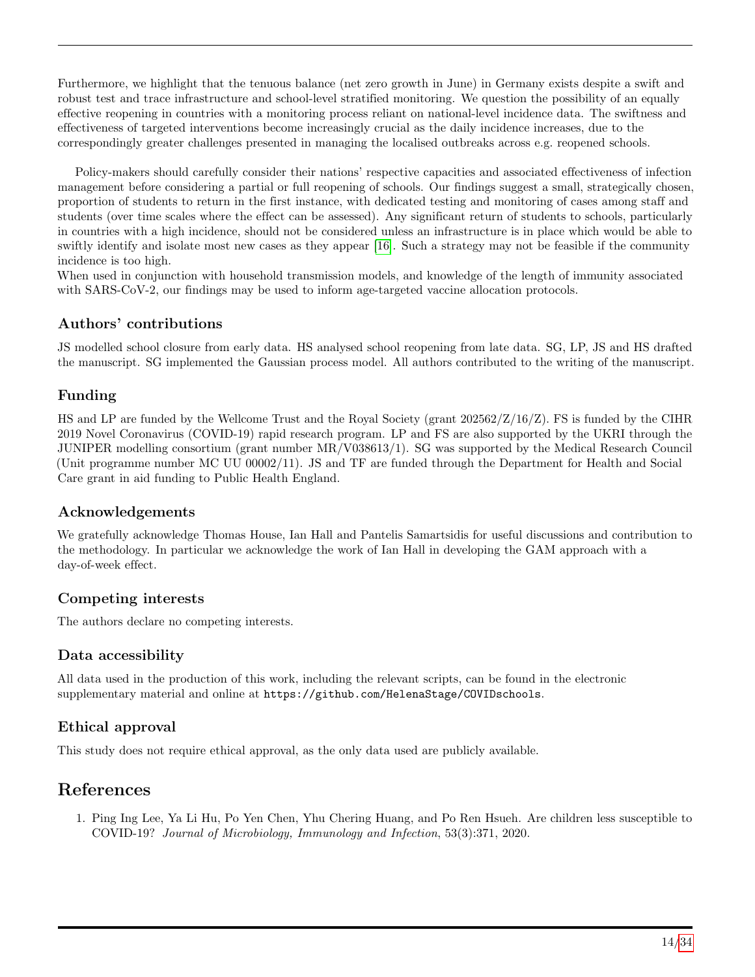Furthermore, we highlight that the tenuous balance (net zero growth in June) in Germany exists despite a swift and robust test and trace infrastructure and school-level stratified monitoring. We question the possibility of an equally effective reopening in countries with a monitoring process reliant on national-level incidence data. The swiftness and effectiveness of targeted interventions become increasingly crucial as the daily incidence increases, due to the correspondingly greater challenges presented in managing the localised outbreaks across e.g. reopened schools.

Policy-makers should carefully consider their nations' respective capacities and associated effectiveness of infection management before considering a partial or full reopening of schools. Our findings suggest a small, strategically chosen, proportion of students to return in the first instance, with dedicated testing and monitoring of cases among staff and students (over time scales where the effect can be assessed). Any significant return of students to schools, particularly in countries with a high incidence, should not be considered unless an infrastructure is in place which would be able to swiftly identify and isolate most new cases as they appear [\[16\]](#page-15-2). Such a strategy may not be feasible if the community incidence is too high.

When used in conjunction with household transmission models, and knowledge of the length of immunity associated with SARS-CoV-2, our findings may be used to inform age-targeted vaccine allocation protocols.

## Authors' contributions

JS modelled school closure from early data. HS analysed school reopening from late data. SG, LP, JS and HS drafted the manuscript. SG implemented the Gaussian process model. All authors contributed to the writing of the manuscript.

## Funding

HS and LP are funded by the Wellcome Trust and the Royal Society (grant 202562/Z/16/Z). FS is funded by the CIHR 2019 Novel Coronavirus (COVID-19) rapid research program. LP and FS are also supported by the UKRI through the JUNIPER modelling consortium (grant number MR/V038613/1). SG was supported by the Medical Research Council (Unit programme number MC UU 00002/11). JS and TF are funded through the Department for Health and Social Care grant in aid funding to Public Health England.

## Acknowledgements

We gratefully acknowledge Thomas House, Ian Hall and Pantelis Samartsidis for useful discussions and contribution to the methodology. In particular we acknowledge the work of Ian Hall in developing the GAM approach with a day-of-week effect.

## Competing interests

The authors declare no competing interests.

## Data accessibility

All data used in the production of this work, including the relevant scripts, can be found in the electronic supplementary material and online at https://github.com/HelenaStage/COVIDschools.

## Ethical approval

This study does not require ethical approval, as the only data used are publicly available.

# References

<span id="page-13-0"></span>1. Ping Ing Lee, Ya Li Hu, Po Yen Chen, Yhu Chering Huang, and Po Ren Hsueh. Are children less susceptible to COVID-19? Journal of Microbiology, Immunology and Infection, 53(3):371, 2020.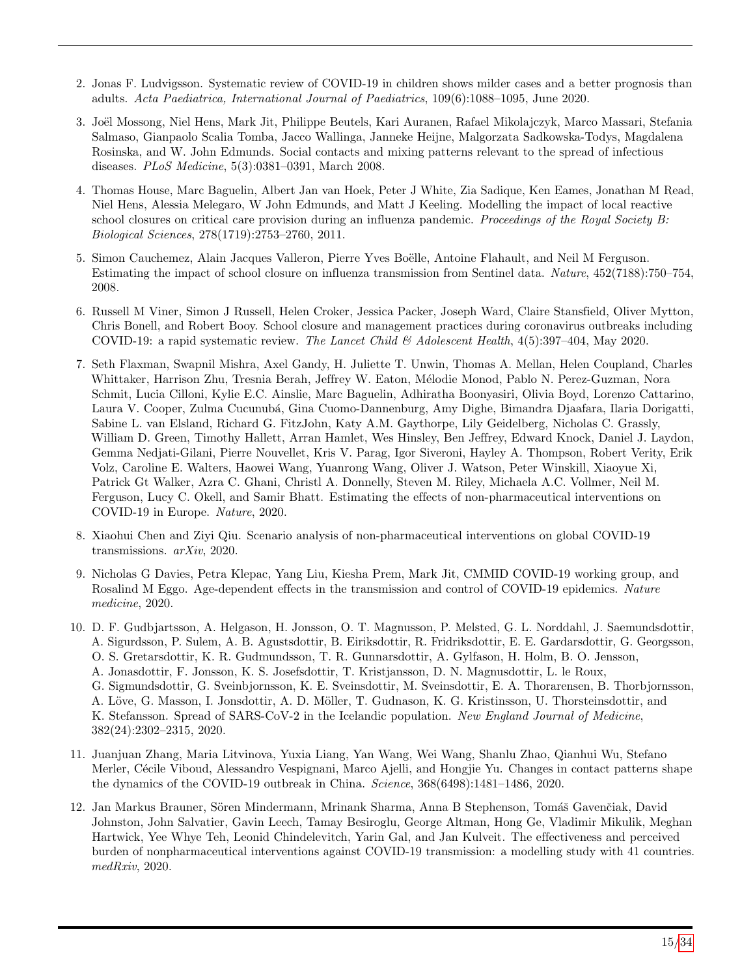- <span id="page-14-0"></span>2. Jonas F. Ludvigsson. Systematic review of COVID-19 in children shows milder cases and a better prognosis than adults. Acta Paediatrica, International Journal of Paediatrics, 109(6):1088–1095, June 2020.
- <span id="page-14-1"></span>3. Joël Mossong, Niel Hens, Mark Jit, Philippe Beutels, Kari Auranen, Rafael Mikolajczyk, Marco Massari, Stefania Salmaso, Gianpaolo Scalia Tomba, Jacco Wallinga, Janneke Heijne, Malgorzata Sadkowska-Todys, Magdalena Rosinska, and W. John Edmunds. Social contacts and mixing patterns relevant to the spread of infectious diseases. PLoS Medicine, 5(3):0381–0391, March 2008.
- <span id="page-14-2"></span>4. Thomas House, Marc Baguelin, Albert Jan van Hoek, Peter J White, Zia Sadique, Ken Eames, Jonathan M Read, Niel Hens, Alessia Melegaro, W John Edmunds, and Matt J Keeling. Modelling the impact of local reactive school closures on critical care provision during an influenza pandemic. Proceedings of the Royal Society B: Biological Sciences, 278(1719):2753–2760, 2011.
- <span id="page-14-3"></span>5. Simon Cauchemez, Alain Jacques Valleron, Pierre Yves Boëlle, Antoine Flahault, and Neil M Ferguson. Estimating the impact of school closure on influenza transmission from Sentinel data. Nature, 452(7188):750–754, 2008.
- <span id="page-14-4"></span>6. Russell M Viner, Simon J Russell, Helen Croker, Jessica Packer, Joseph Ward, Claire Stansfield, Oliver Mytton, Chris Bonell, and Robert Booy. School closure and management practices during coronavirus outbreaks including COVID-19: a rapid systematic review. The Lancet Child & Adolescent Health,  $4(5):397-404$ , May 2020.
- <span id="page-14-5"></span>7. Seth Flaxman, Swapnil Mishra, Axel Gandy, H. Juliette T. Unwin, Thomas A. Mellan, Helen Coupland, Charles Whittaker, Harrison Zhu, Tresnia Berah, Jeffrey W. Eaton, Mélodie Monod, Pablo N. Perez-Guzman, Nora Schmit, Lucia Cilloni, Kylie E.C. Ainslie, Marc Baguelin, Adhiratha Boonyasiri, Olivia Boyd, Lorenzo Cattarino, Laura V. Cooper, Zulma Cucunubá, Gina Cuomo-Dannenburg, Amy Dighe, Bimandra Djaafara, Ilaria Dorigatti, Sabine L. van Elsland, Richard G. FitzJohn, Katy A.M. Gaythorpe, Lily Geidelberg, Nicholas C. Grassly, William D. Green, Timothy Hallett, Arran Hamlet, Wes Hinsley, Ben Jeffrey, Edward Knock, Daniel J. Laydon, Gemma Nedjati-Gilani, Pierre Nouvellet, Kris V. Parag, Igor Siveroni, Hayley A. Thompson, Robert Verity, Erik Volz, Caroline E. Walters, Haowei Wang, Yuanrong Wang, Oliver J. Watson, Peter Winskill, Xiaoyue Xi, Patrick Gt Walker, Azra C. Ghani, Christl A. Donnelly, Steven M. Riley, Michaela A.C. Vollmer, Neil M. Ferguson, Lucy C. Okell, and Samir Bhatt. Estimating the effects of non-pharmaceutical interventions on COVID-19 in Europe. Nature, 2020.
- <span id="page-14-6"></span>8. Xiaohui Chen and Ziyi Qiu. Scenario analysis of non-pharmaceutical interventions on global COVID-19 transmissions. arXiv, 2020.
- <span id="page-14-7"></span>9. Nicholas G Davies, Petra Klepac, Yang Liu, Kiesha Prem, Mark Jit, CMMID COVID-19 working group, and Rosalind M Eggo. Age-dependent effects in the transmission and control of COVID-19 epidemics. Nature medicine, 2020.
- <span id="page-14-8"></span>10. D. F. Gudbjartsson, A. Helgason, H. Jonsson, O. T. Magnusson, P. Melsted, G. L. Norddahl, J. Saemundsdottir, A. Sigurdsson, P. Sulem, A. B. Agustsdottir, B. Eiriksdottir, R. Fridriksdottir, E. E. Gardarsdottir, G. Georgsson, O. S. Gretarsdottir, K. R. Gudmundsson, T. R. Gunnarsdottir, A. Gylfason, H. Holm, B. O. Jensson, A. Jonasdottir, F. Jonsson, K. S. Josefsdottir, T. Kristjansson, D. N. Magnusdottir, L. le Roux, G. Sigmundsdottir, G. Sveinbjornsson, K. E. Sveinsdottir, M. Sveinsdottir, E. A. Thorarensen, B. Thorbjornsson, A. Löve, G. Masson, I. Jonsdottir, A. D. Möller, T. Gudnason, K. G. Kristinsson, U. Thorsteinsdottir, and
- K. Stefansson. Spread of SARS-CoV-2 in the Icelandic population. New England Journal of Medicine, 382(24):2302–2315, 2020.
- <span id="page-14-9"></span>11. Juanjuan Zhang, Maria Litvinova, Yuxia Liang, Yan Wang, Wei Wang, Shanlu Zhao, Qianhui Wu, Stefano Merler, Cécile Viboud, Alessandro Vespignani, Marco Ajelli, and Hongjie Yu. Changes in contact patterns shape the dynamics of the COVID-19 outbreak in China. Science, 368(6498):1481–1486, 2020.
- 12. Jan Markus Brauner, Sören Mindermann, Mrinank Sharma, Anna B Stephenson, Tomáš Gavenčiak, David Johnston, John Salvatier, Gavin Leech, Tamay Besiroglu, George Altman, Hong Ge, Vladimir Mikulik, Meghan Hartwick, Yee Whye Teh, Leonid Chindelevitch, Yarin Gal, and Jan Kulveit. The effectiveness and perceived burden of nonpharmaceutical interventions against COVID-19 transmission: a modelling study with 41 countries. medRxiv, 2020.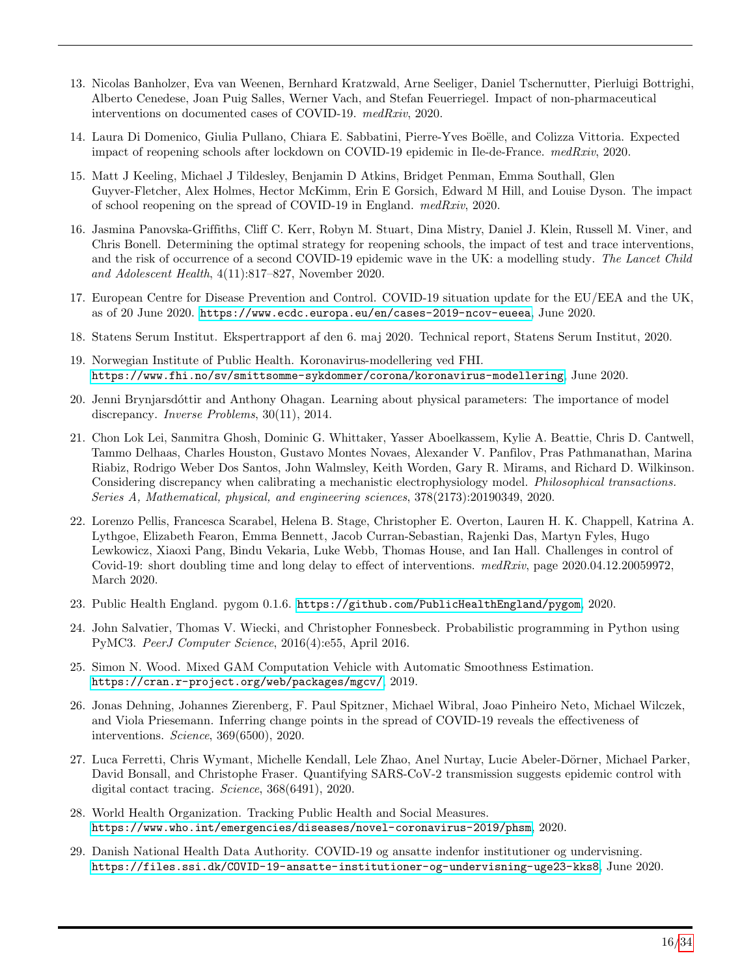- <span id="page-15-0"></span>13. Nicolas Banholzer, Eva van Weenen, Bernhard Kratzwald, Arne Seeliger, Daniel Tschernutter, Pierluigi Bottrighi, Alberto Cenedese, Joan Puig Salles, Werner Vach, and Stefan Feuerriegel. Impact of non-pharmaceutical interventions on documented cases of COVID-19. medRxiv, 2020.
- <span id="page-15-1"></span>14. Laura Di Domenico, Giulia Pullano, Chiara E. Sabbatini, Pierre-Yves Boëlle, and Colizza Vittoria. Expected impact of reopening schools after lockdown on COVID-19 epidemic in Ile-de-France. medRxiv, 2020.
- <span id="page-15-16"></span>15. Matt J Keeling, Michael J Tildesley, Benjamin D Atkins, Bridget Penman, Emma Southall, Glen Guyver-Fletcher, Alex Holmes, Hector McKimm, Erin E Gorsich, Edward M Hill, and Louise Dyson. The impact of school reopening on the spread of COVID-19 in England. medRxiv, 2020.
- <span id="page-15-2"></span>16. Jasmina Panovska-Griffiths, Cliff C. Kerr, Robyn M. Stuart, Dina Mistry, Daniel J. Klein, Russell M. Viner, and Chris Bonell. Determining the optimal strategy for reopening schools, the impact of test and trace interventions, and the risk of occurrence of a second COVID-19 epidemic wave in the UK: a modelling study. The Lancet Child and Adolescent Health, 4(11):817–827, November 2020.
- <span id="page-15-3"></span>17. European Centre for Disease Prevention and Control. COVID-19 situation update for the EU/EEA and the UK, as of 20 June 2020. <https://www.ecdc.europa.eu/en/cases-2019-ncov-eueea>, June 2020.
- <span id="page-15-4"></span>18. Statens Serum Institut. Ekspertrapport af den 6. maj 2020. Technical report, Statens Serum Institut, 2020.
- <span id="page-15-5"></span>19. Norwegian Institute of Public Health. Koronavirus-modellering ved FHI. <https://www.fhi.no/sv/smittsomme-sykdommer/corona/koronavirus-modellering>, June 2020.
- <span id="page-15-6"></span>20. Jenni Brynjarsdóttir and Anthony Ohagan. Learning about physical parameters: The importance of model discrepancy. Inverse Problems, 30(11), 2014.
- <span id="page-15-7"></span>21. Chon Lok Lei, Sanmitra Ghosh, Dominic G. Whittaker, Yasser Aboelkassem, Kylie A. Beattie, Chris D. Cantwell, Tammo Delhaas, Charles Houston, Gustavo Montes Novaes, Alexander V. Panfilov, Pras Pathmanathan, Marina Riabiz, Rodrigo Weber Dos Santos, John Walmsley, Keith Worden, Gary R. Mirams, and Richard D. Wilkinson. Considering discrepancy when calibrating a mechanistic electrophysiology model. Philosophical transactions. Series A, Mathematical, physical, and engineering sciences, 378(2173):20190349, 2020.
- <span id="page-15-8"></span>22. Lorenzo Pellis, Francesca Scarabel, Helena B. Stage, Christopher E. Overton, Lauren H. K. Chappell, Katrina A. Lythgoe, Elizabeth Fearon, Emma Bennett, Jacob Curran-Sebastian, Rajenki Das, Martyn Fyles, Hugo Lewkowicz, Xiaoxi Pang, Bindu Vekaria, Luke Webb, Thomas House, and Ian Hall. Challenges in control of Covid-19: short doubling time and long delay to effect of interventions.  $medRxiv$ , page  $2020.04.12.20059972$ , March 2020.
- <span id="page-15-9"></span>23. Public Health England. pygom 0.1.6. <https://github.com/PublicHealthEngland/pygom>, 2020.
- <span id="page-15-10"></span>24. John Salvatier, Thomas V. Wiecki, and Christopher Fonnesbeck. Probabilistic programming in Python using PyMC3. PeerJ Computer Science, 2016(4):e55, April 2016.
- <span id="page-15-11"></span>25. Simon N. Wood. Mixed GAM Computation Vehicle with Automatic Smoothness Estimation. <https://cran.r-project.org/web/packages/mgcv/>, 2019.
- <span id="page-15-12"></span>26. Jonas Dehning, Johannes Zierenberg, F. Paul Spitzner, Michael Wibral, Joao Pinheiro Neto, Michael Wilczek, and Viola Priesemann. Inferring change points in the spread of COVID-19 reveals the effectiveness of interventions. Science, 369(6500), 2020.
- <span id="page-15-13"></span>27. Luca Ferretti, Chris Wymant, Michelle Kendall, Lele Zhao, Anel Nurtay, Lucie Abeler-Dörner, Michael Parker, David Bonsall, and Christophe Fraser. Quantifying SARS-CoV-2 transmission suggests epidemic control with digital contact tracing. Science, 368(6491), 2020.
- <span id="page-15-14"></span>28. World Health Organization. Tracking Public Health and Social Measures. <https://www.who.int/emergencies/diseases/novel-coronavirus-2019/phsm>, 2020.
- <span id="page-15-15"></span>29. Danish National Health Data Authority. COVID-19 og ansatte indenfor institutioner og undervisning. <https://files.ssi.dk/COVID-19-ansatte-institutioner-og-undervisning-uge23-kks8>, June 2020.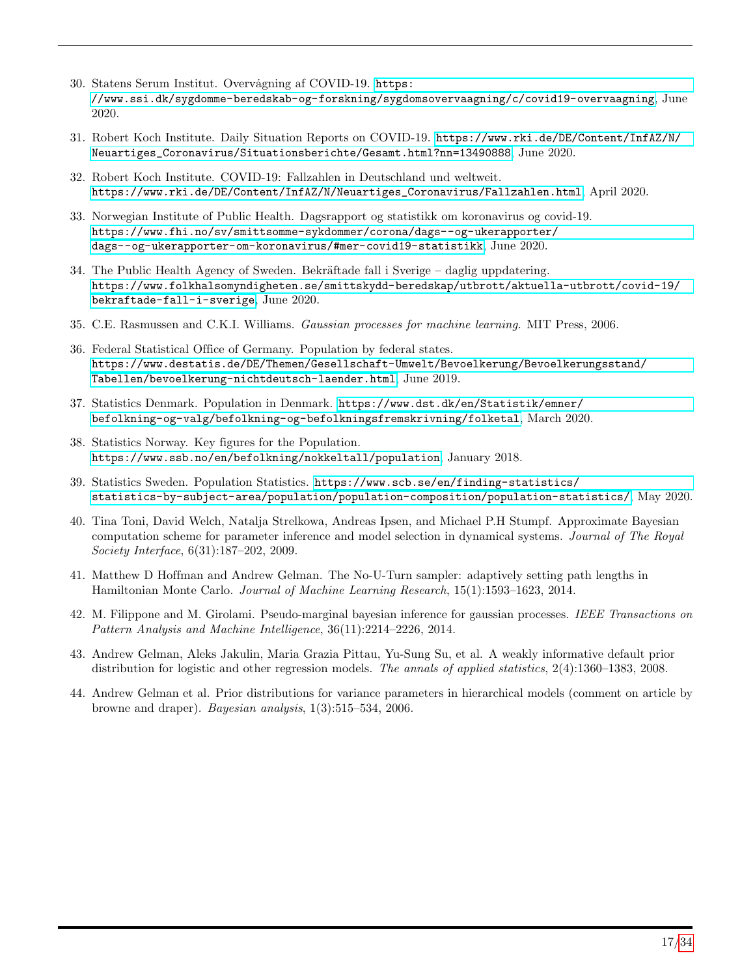- <span id="page-16-0"></span>30. Statens Serum Institut. Overvågning af COVID-19. [https:](https://www.ssi.dk/sygdomme-beredskab-og-forskning/sygdomsovervaagning/c/covid19-overvaagning) [//www.ssi.dk/sygdomme-beredskab-og-forskning/sygdomsovervaagning/c/covid19-overvaagning](https://www.ssi.dk/sygdomme-beredskab-og-forskning/sygdomsovervaagning/c/covid19-overvaagning), June 2020.
- <span id="page-16-1"></span>31. Robert Koch Institute. Daily Situation Reports on COVID-19. [https://www.rki.de/DE/Content/InfAZ/N/](https://www.rki.de/DE/Content/InfAZ/N/Neuartiges_Coronavirus/Situationsberichte/Gesamt.html?nn=13490888) [Neuartiges\\_Coronavirus/Situationsberichte/Gesamt.html?nn=13490888](https://www.rki.de/DE/Content/InfAZ/N/Neuartiges_Coronavirus/Situationsberichte/Gesamt.html?nn=13490888), June 2020.
- <span id="page-16-2"></span>32. Robert Koch Institute. COVID-19: Fallzahlen in Deutschland und weltweit. [https://www.rki.de/DE/Content/InfAZ/N/Neuartiges\\_Coronavirus/Fallzahlen.html](https://www.rki.de/DE/Content/InfAZ/N/Neuartiges_Coronavirus/Fallzahlen.html), April 2020.
- <span id="page-16-3"></span>33. Norwegian Institute of Public Health. Dagsrapport og statistikk om koronavirus og covid-19. [https://www.fhi.no/sv/smittsomme-sykdommer/corona/dags--og-ukerapporter/](https://www.fhi.no/sv/smittsomme-sykdommer/corona/dags--og-ukerapporter/dags--og-ukerapporter-om-koronavirus/#mer-covid19-statistikk) [dags--og-ukerapporter-om-koronavirus/#mer-covid19-statistikk](https://www.fhi.no/sv/smittsomme-sykdommer/corona/dags--og-ukerapporter/dags--og-ukerapporter-om-koronavirus/#mer-covid19-statistikk), June 2020.
- <span id="page-16-4"></span>34. The Public Health Agency of Sweden. Bekräftade fall i Sverige – daglig uppdatering. [https://www.folkhalsomyndigheten.se/smittskydd-beredskap/utbrott/aktuella-utbrott/covid-19/](https://www.folkhalsomyndigheten.se/smittskydd-beredskap/utbrott/aktuella-utbrott/covid-19/bekraftade-fall-i-sverige) [bekraftade-fall-i-sverige](https://www.folkhalsomyndigheten.se/smittskydd-beredskap/utbrott/aktuella-utbrott/covid-19/bekraftade-fall-i-sverige), June 2020.
- <span id="page-16-5"></span>35. C.E. Rasmussen and C.K.I. Williams. Gaussian processes for machine learning. MIT Press, 2006.
- <span id="page-16-6"></span>36. Federal Statistical Office of Germany. Population by federal states. [https://www.destatis.de/DE/Themen/Gesellschaft-Umwelt/Bevoelkerung/Bevoelkerungsstand/](https://www.destatis.de/DE/Themen/Gesellschaft-Umwelt/Bevoelkerung/Bevoelkerungsstand/Tabellen/bevoelkerung-nichtdeutsch-laender.html) [Tabellen/bevoelkerung-nichtdeutsch-laender.html](https://www.destatis.de/DE/Themen/Gesellschaft-Umwelt/Bevoelkerung/Bevoelkerungsstand/Tabellen/bevoelkerung-nichtdeutsch-laender.html), June 2019.
- 37. Statistics Denmark. Population in Denmark. [https://www.dst.dk/en/Statistik/emner/](https://www.dst.dk/en/Statistik/emner/befolkning-og-valg/befolkning-og-befolkningsfremskrivning/folketal) [befolkning-og-valg/befolkning-og-befolkningsfremskrivning/folketal](https://www.dst.dk/en/Statistik/emner/befolkning-og-valg/befolkning-og-befolkningsfremskrivning/folketal), March 2020.
- 38. Statistics Norway. Key figures for the Population. <https://www.ssb.no/en/befolkning/nokkeltall/population>, January 2018.
- <span id="page-16-7"></span>39. Statistics Sweden. Population Statistics. [https://www.scb.se/en/finding-statistics/](https://www.scb.se/en/finding-statistics/statistics-by-subject-area/population/population-composition/population-statistics/) [statistics-by-subject-area/population/population-composition/population-statistics/](https://www.scb.se/en/finding-statistics/statistics-by-subject-area/population/population-composition/population-statistics/), May 2020.
- <span id="page-16-8"></span>40. Tina Toni, David Welch, Natalja Strelkowa, Andreas Ipsen, and Michael P.H Stumpf. Approximate Bayesian computation scheme for parameter inference and model selection in dynamical systems. Journal of The Royal Society Interface, 6(31):187–202, 2009.
- <span id="page-16-9"></span>41. Matthew D Hoffman and Andrew Gelman. The No-U-Turn sampler: adaptively setting path lengths in Hamiltonian Monte Carlo. Journal of Machine Learning Research, 15(1):1593–1623, 2014.
- <span id="page-16-10"></span>42. M. Filippone and M. Girolami. Pseudo-marginal bayesian inference for gaussian processes. IEEE Transactions on Pattern Analysis and Machine Intelligence, 36(11):2214–2226, 2014.
- <span id="page-16-11"></span>43. Andrew Gelman, Aleks Jakulin, Maria Grazia Pittau, Yu-Sung Su, et al. A weakly informative default prior distribution for logistic and other regression models. The annals of applied statistics, 2(4):1360–1383, 2008.
- <span id="page-16-12"></span>44. Andrew Gelman et al. Prior distributions for variance parameters in hierarchical models (comment on article by browne and draper). Bayesian analysis, 1(3):515–534, 2006.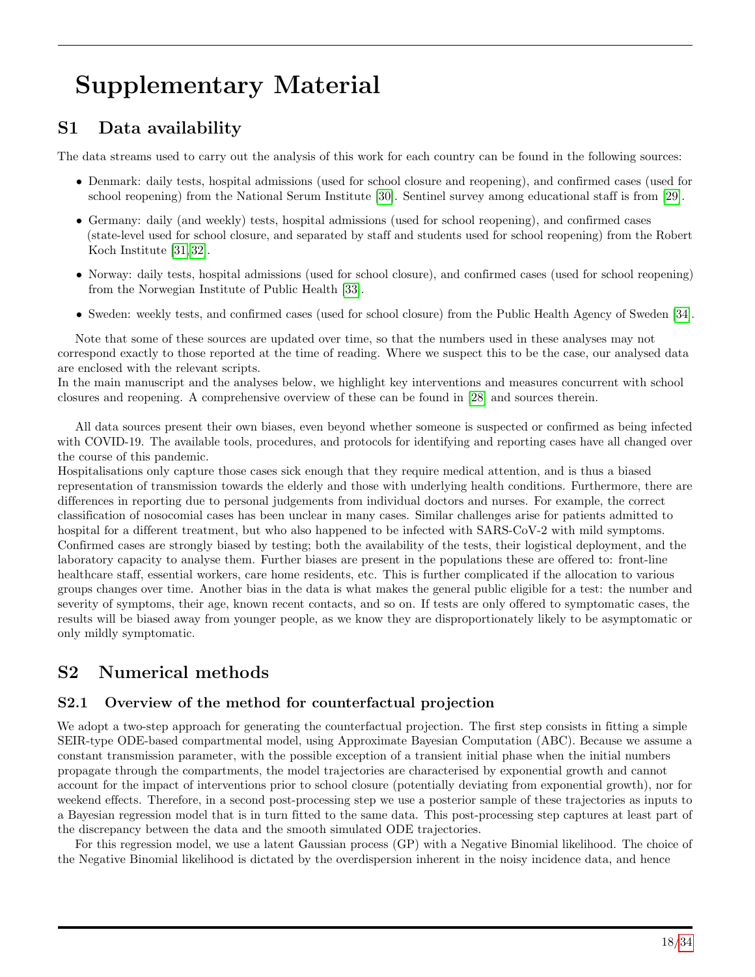# Supplementary Material

# S1 Data availability

The data streams used to carry out the analysis of this work for each country can be found in the following sources:

- Denmark: daily tests, hospital admissions (used for school closure and reopening), and confirmed cases (used for school reopening) from the National Serum Institute [\[30\]](#page-16-0). Sentinel survey among educational staff is from [\[29\]](#page-15-15).
- Germany: daily (and weekly) tests, hospital admissions (used for school reopening), and confirmed cases (state-level used for school closure, and separated by staff and students used for school reopening) from the Robert Koch Institute [\[31,](#page-16-1) [32\]](#page-16-2).
- Norway: daily tests, hospital admissions (used for school closure), and confirmed cases (used for school reopening) from the Norwegian Institute of Public Health [\[33\]](#page-16-3).
- Sweden: weekly tests, and confirmed cases (used for school closure) from the Public Health Agency of Sweden [\[34\]](#page-16-4).

Note that some of these sources are updated over time, so that the numbers used in these analyses may not correspond exactly to those reported at the time of reading. Where we suspect this to be the case, our analysed data are enclosed with the relevant scripts.

In the main manuscript and the analyses below, we highlight key interventions and measures concurrent with school closures and reopening. A comprehensive overview of these can be found in [\[28\]](#page-15-14) and sources therein.

All data sources present their own biases, even beyond whether someone is suspected or confirmed as being infected with COVID-19. The available tools, procedures, and protocols for identifying and reporting cases have all changed over the course of this pandemic.

Hospitalisations only capture those cases sick enough that they require medical attention, and is thus a biased representation of transmission towards the elderly and those with underlying health conditions. Furthermore, there are differences in reporting due to personal judgements from individual doctors and nurses. For example, the correct classification of nosocomial cases has been unclear in many cases. Similar challenges arise for patients admitted to hospital for a different treatment, but who also happened to be infected with SARS-CoV-2 with mild symptoms. Confirmed cases are strongly biased by testing; both the availability of the tests, their logistical deployment, and the laboratory capacity to analyse them. Further biases are present in the populations these are offered to: front-line healthcare staff, essential workers, care home residents, etc. This is further complicated if the allocation to various groups changes over time. Another bias in the data is what makes the general public eligible for a test: the number and severity of symptoms, their age, known recent contacts, and so on. If tests are only offered to symptomatic cases, the results will be biased away from younger people, as we know they are disproportionately likely to be asymptomatic or only mildly symptomatic.

# S2 Numerical methods

## S2.1 Overview of the method for counterfactual projection

We adopt a two-step approach for generating the counterfactual projection. The first step consists in fitting a simple SEIR-type ODE-based compartmental model, using Approximate Bayesian Computation (ABC). Because we assume a constant transmission parameter, with the possible exception of a transient initial phase when the initial numbers propagate through the compartments, the model trajectories are characterised by exponential growth and cannot account for the impact of interventions prior to school closure (potentially deviating from exponential growth), nor for weekend effects. Therefore, in a second post-processing step we use a posterior sample of these trajectories as inputs to a Bayesian regression model that is in turn fitted to the same data. This post-processing step captures at least part of the discrepancy between the data and the smooth simulated ODE trajectories.

For this regression model, we use a latent Gaussian process (GP) with a Negative Binomial likelihood. The choice of the Negative Binomial likelihood is dictated by the overdispersion inherent in the noisy incidence data, and hence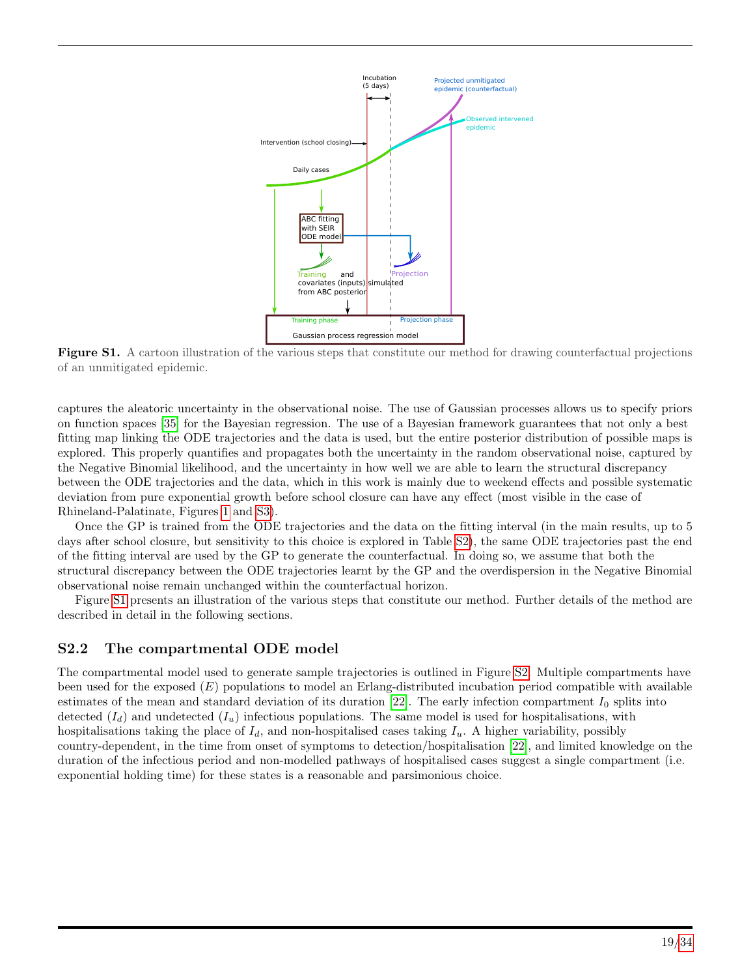<span id="page-18-0"></span>

Figure S1. A cartoon illustration of the various steps that constitute our method for drawing counterfactual projections of an unmitigated epidemic.

captures the aleatoric uncertainty in the observational noise. The use of Gaussian processes allows us to specify priors on function spaces [\[35\]](#page-16-5) for the Bayesian regression. The use of a Bayesian framework guarantees that not only a best fitting map linking the ODE trajectories and the data is used, but the entire posterior distribution of possible maps is explored. This properly quantifies and propagates both the uncertainty in the random observational noise, captured by the Negative Binomial likelihood, and the uncertainty in how well we are able to learn the structural discrepancy between the ODE trajectories and the data, which in this work is mainly due to weekend effects and possible systematic deviation from pure exponential growth before school closure can have any effect (most visible in the case of Rhineland-Palatinate, Figures [1](#page-6-0) and [S3\)](#page-23-0).

Once the GP is trained from the ODE trajectories and the data on the fitting interval (in the main results, up to 5 days after school closure, but sensitivity to this choice is explored in Table [S2\)](#page-23-1), the same ODE trajectories past the end of the fitting interval are used by the GP to generate the counterfactual. In doing so, we assume that both the structural discrepancy between the ODE trajectories learnt by the GP and the overdispersion in the Negative Binomial observational noise remain unchanged within the counterfactual horizon.

Figure [S1](#page-18-0) presents an illustration of the various steps that constitute our method. Further details of the method are described in detail in the following sections.

### S2.2 The compartmental ODE model

The compartmental model used to generate sample trajectories is outlined in Figure [S2.](#page-19-0) Multiple compartments have been used for the exposed (E) populations to model an Erlang-distributed incubation period compatible with available estimates of the mean and standard deviation of its duration  $[22]$ . The early infection compartment  $I_0$  splits into detected  $(I_d)$  and undetected  $(I_u)$  infectious populations. The same model is used for hospitalisations, with hospitalisations taking the place of  $I_d$ , and non-hospitalised cases taking  $I_u$ . A higher variability, possibly country-dependent, in the time from onset of symptoms to detection/hospitalisation [\[22\]](#page-15-8), and limited knowledge on the duration of the infectious period and non-modelled pathways of hospitalised cases suggest a single compartment (i.e. exponential holding time) for these states is a reasonable and parsimonious choice.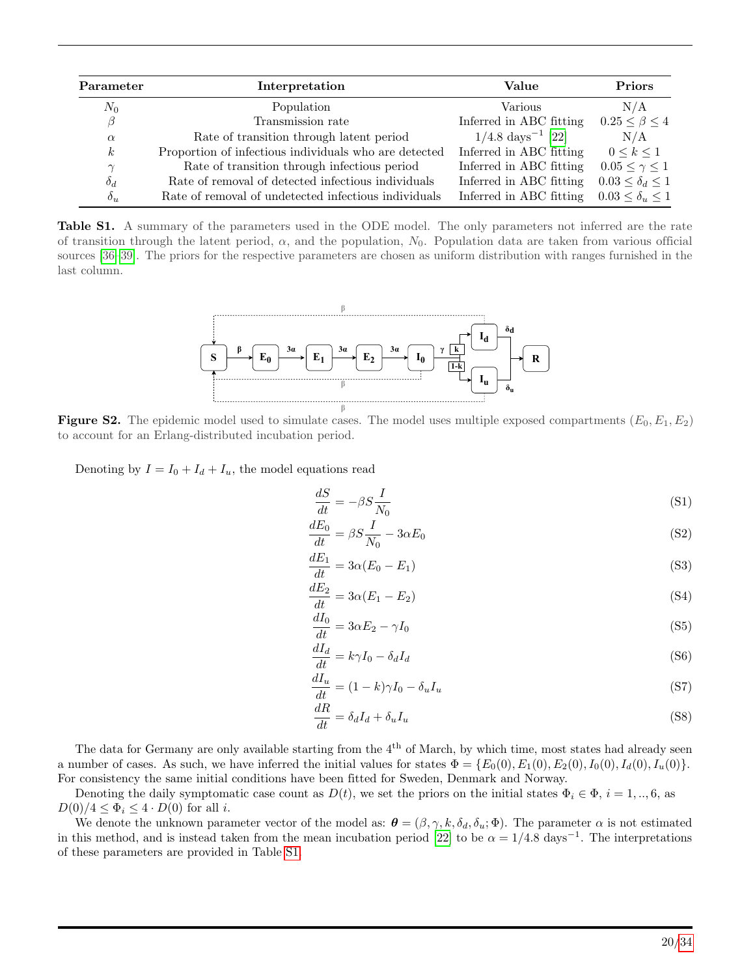<span id="page-19-1"></span>

| Parameter        | Interpretation                                        | Value                          | <b>Priors</b>               |
|------------------|-------------------------------------------------------|--------------------------------|-----------------------------|
| $N_0$            | Population                                            | Various                        | N/A                         |
| β                | Transmission rate                                     | Inferred in ABC fitting        | $0.25 \leq \beta \leq 4$    |
| $\alpha$         | Rate of transition through latent period              | $1/4.8 \text{ days}^{-1}$ [22] | N/A                         |
| $\boldsymbol{k}$ | Proportion of infectious individuals who are detected | Inferred in ABC fitting        | $0 \leq k \leq 1$           |
| $\gamma$         | Rate of transition through infectious period          | Inferred in ABC fitting        | $0.05 < \gamma < 1$         |
| $\delta_d$       | Rate of removal of detected infectious individuals    | Inferred in ABC fitting        | $0.03 \leq \delta_d \leq 1$ |
| $\delta_u$       | Rate of removal of undetected infectious individuals  | Inferred in ABC fitting        | $0.03 \leq \delta_u \leq 1$ |

<span id="page-19-0"></span>Table S1. A summary of the parameters used in the ODE model. The only parameters not inferred are the rate of transition through the latent period,  $\alpha$ , and the population,  $N_0$ . Population data are taken from various official sources [\[36–](#page-16-6)[39\]](#page-16-7). The priors for the respective parameters are chosen as uniform distribution with ranges furnished in the last column.



**Figure S2.** The epidemic model used to simulate cases. The model uses multiple exposed compartments  $(E_0, E_1, E_2)$ to account for an Erlang-distributed incubation period.

Denoting by  $I = I_0 + I_d + I_u$ , the model equations read

$$
\frac{dS}{dt} = -\beta S \frac{I}{N_0} \tag{S1}
$$

$$
\frac{dE_0}{dt} = \beta S \frac{I}{N_0} - 3\alpha E_0 \tag{S2}
$$

$$
\frac{dE_1}{dt} = 3\alpha (E_0 - E_1) \tag{S3}
$$

$$
\frac{dE_2}{dt} = 3\alpha (E_1 - E_2) \tag{S4}
$$

$$
\frac{dI_0}{dt} = 3\alpha E_2 - \gamma I_0 \tag{S5}
$$

$$
\frac{dI_d}{dt} = k\gamma I_0 - \delta_d I_d \tag{S6}
$$

$$
\frac{dI_u}{dt} = (1 - k)\gamma I_0 - \delta_u I_u \tag{S7}
$$

$$
\frac{dR}{dt} = \delta_d I_d + \delta_u I_u \tag{S8}
$$

The data for Germany are only available starting from the 4<sup>th</sup> of March, by which time, most states had already seen a number of cases. As such, we have inferred the initial values for states  $\Phi = \{E_0(0), E_1(0), E_2(0), I_0(0), I_d(0), I_u(0)\}\$ . For consistency the same initial conditions have been fitted for Sweden, Denmark and Norway.

Denoting the daily symptomatic case count as  $D(t)$ , we set the priors on the initial states  $\Phi_i \in \Phi$ ,  $i = 1, ..., 6$ , as  $D(0)/4 \leq \Phi_i \leq 4 \cdot D(0)$  for all *i*.

We denote the unknown parameter vector of the model as:  $\boldsymbol{\theta} = (\beta, \gamma, k, \delta_d, \delta_u; \Phi)$ . The parameter  $\alpha$  is not estimated in this method, and is instead taken from the mean incubation period [\[22\]](#page-15-8) to be  $\alpha = 1/4.8 \text{ days}^{-1}$ . The interpretations of these parameters are provided in Table [S1.](#page-19-1)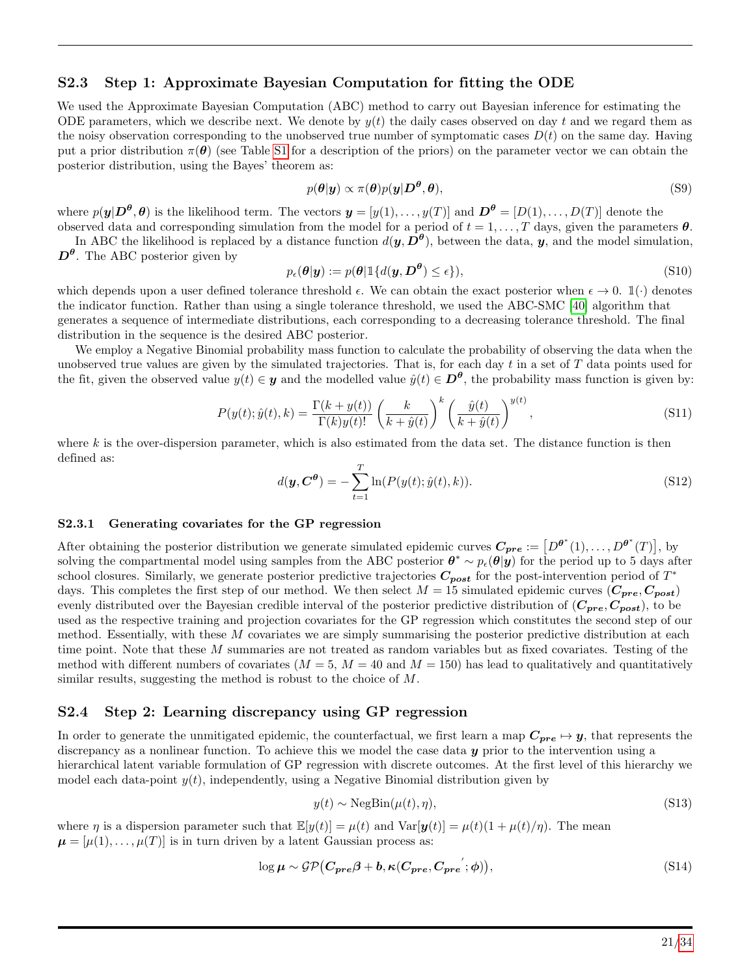#### S2.3 Step 1: Approximate Bayesian Computation for fitting the ODE

We used the Approximate Bayesian Computation (ABC) method to carry out Bayesian inference for estimating the ODE parameters, which we describe next. We denote by  $y(t)$  the daily cases observed on day t and we regard them as the noisy observation corresponding to the unobserved true number of symptomatic cases  $D(t)$  on the same day. Having put a prior distribution  $\pi(\theta)$  (see Table [S1](#page-19-1) for a description of the priors) on the parameter vector we can obtain the posterior distribution, using the Bayes' theorem as:

$$
p(\theta|\mathbf{y}) \propto \pi(\theta)p(\mathbf{y}|\mathbf{D}^{\theta},\theta),\tag{S9}
$$

where  $p(\mathbf{y}|\mathbf{D}^{\theta}, \theta)$  is the likelihood term. The vectors  $\mathbf{y} = [y(1), \ldots, y(T)]$  and  $\mathbf{D}^{\theta} = [D(1), \ldots, D(T)]$  denote the observed data and corresponding simulation from the model for a period of  $t = 1, \ldots, T$  days, given the parameters  $\theta$ .

In ABC the likelihood is replaced by a distance function  $d(\bm{y}, D^{\theta})$ , between the data,  $\bm{y}$ , and the model simulation,  $\mathbf{D}^{\theta}$ . The ABC posterior given by

$$
p_{\epsilon}(\theta|\mathbf{y}) := p(\theta|\mathbb{1}\{d(\mathbf{y}, \mathbf{D}^{\theta}) \le \epsilon\}),\tag{S10}
$$

which depends upon a user defined tolerance threshold  $\epsilon$ . We can obtain the exact posterior when  $\epsilon \to 0$ .  $\mathbb{1}(\cdot)$  denotes the indicator function. Rather than using a single tolerance threshold, we used the ABC-SMC [\[40\]](#page-16-8) algorithm that generates a sequence of intermediate distributions, each corresponding to a decreasing tolerance threshold. The final distribution in the sequence is the desired ABC posterior.

We employ a Negative Binomial probability mass function to calculate the probability of observing the data when the unobserved true values are given by the simulated trajectories. That is, for each day  $t$  in a set of  $T$  data points used for the fit, given the observed value  $y(t) \in \mathbf{y}$  and the modelled value  $\hat{y}(t) \in \mathbf{D}^{\theta}$ , the probability mass function is given by:

$$
P(y(t); \hat{y}(t), k) = \frac{\Gamma(k + y(t))}{\Gamma(k)y(t)!} \left(\frac{k}{k + \hat{y}(t)}\right)^k \left(\frac{\hat{y}(t)}{k + \hat{y}(t)}\right)^{y(t)},
$$
\n(S11)

where  $k$  is the over-dispersion parameter, which is also estimated from the data set. The distance function is then defined as:

$$
d(\mathbf{y}, \mathbf{C}^{\theta}) = -\sum_{t=1}^{T} \ln(P(y(t); \hat{y}(t), k)).
$$
\n(S12)

#### S2.3.1 Generating covariates for the GP regression

After obtaining the posterior distribution we generate simulated epidemic curves  $C_{pre} := [D^{\theta^*}(1), \ldots, D^{\theta^*}(T)],$  by solving the compartmental model using samples from the ABC posterior  $\theta^* \sim p_{\epsilon}(\theta | y)$  for the period up to 5 days after school closures. Similarly, we generate posterior predictive trajectories  $C_{post}$  for the post-intervention period of  $T^*$ days. This completes the first step of our method. We then select  $M = 15$  simulated epidemic curves  $(C_{pre}, C_{post})$ evenly distributed over the Bayesian credible interval of the posterior predictive distribution of  $(C_{pre}, C_{post})$ , to be used as the respective training and projection covariates for the GP regression which constitutes the second step of our method. Essentially, with these M covariates we are simply summarising the posterior predictive distribution at each time point. Note that these  $M$  summaries are not treated as random variables but as fixed covariates. Testing of the method with different numbers of covariates  $(M = 5, M = 40 \text{ and } M = 150)$  has lead to qualitatively and quantitatively similar results, suggesting the method is robust to the choice of M.

#### S2.4 Step 2: Learning discrepancy using GP regression

In order to generate the unmitigated epidemic, the counterfactual, we first learn a map  $C_{pre} \rightarrow y$ , that represents the discrepancy as a nonlinear function. To achieve this we model the case data y prior to the intervention using a hierarchical latent variable formulation of GP regression with discrete outcomes. At the first level of this hierarchy we model each data-point  $y(t)$ , independently, using a Negative Binomial distribution given by

$$
y(t) \sim \text{NegBin}(\mu(t), \eta),\tag{S13}
$$

where  $\eta$  is a dispersion parameter such that  $\mathbb{E}[y(t)] = \mu(t)$  and  $\text{Var}[\mathbf{y}(t)] = \mu(t)(1 + \mu(t)/\eta)$ . The mean  $\mu = [\mu(1), \ldots, \mu(T)]$  is in turn driven by a latent Gaussian process as:

<span id="page-20-0"></span>
$$
\log \mu \sim \mathcal{GP}(C_{pre}\beta + b, \kappa(C_{pre}, C_{pre}'; \phi)),
$$
\n<sup>(S14)</sup>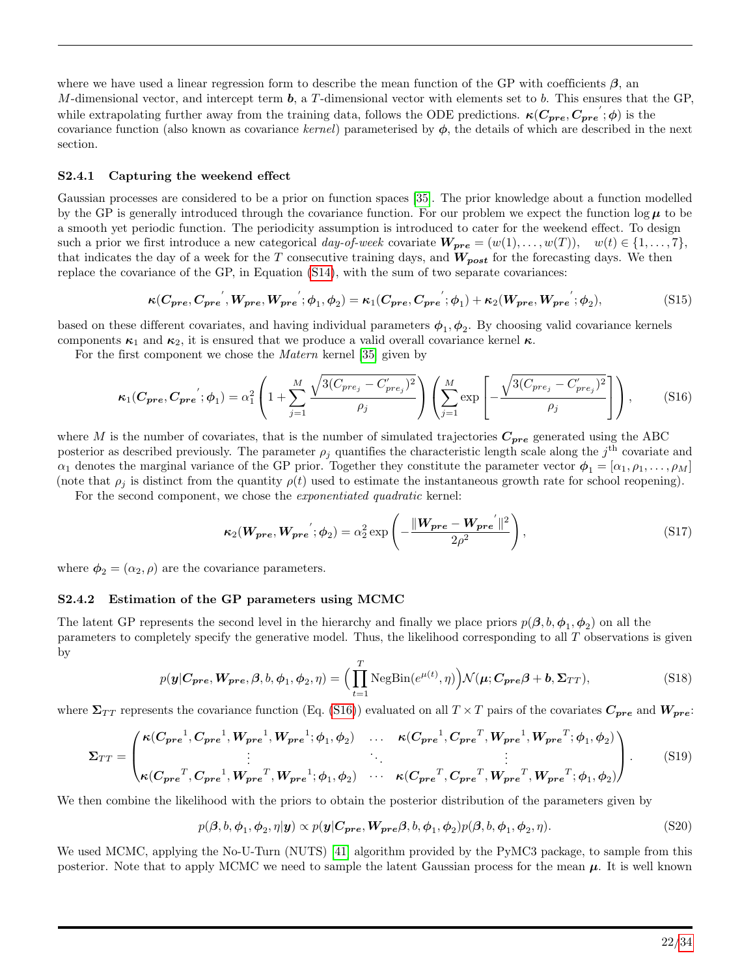where we have used a linear regression form to describe the mean function of the GP with coefficients  $\beta$ , and M-dimensional vector, and intercept term  $\bm{b}$ , a T-dimensional vector with elements set to  $\bm{b}$ . This ensures that the GP, while extrapolating further away from the training data, follows the ODE predictions.  $\kappa(C_{pre}, C_{pre}; \phi)$  is the covariance function (also known as covariance kernel) parameterised by  $\phi$ , the details of which are described in the next section.

#### S2.4.1 Capturing the weekend effect

Gaussian processes are considered to be a prior on function spaces [\[35\]](#page-16-5). The prior knowledge about a function modelled by the GP is generally introduced through the covariance function. For our problem we expect the function  $\log \mu$  to be a smooth yet periodic function. The periodicity assumption is introduced to cater for the weekend effect. To design such a prior we first introduce a new categorical day-of-week covariate  $W_{pre} = (w(1), \ldots, w(T)), w(t) \in \{1, \ldots, 7\}$ , that indicates the day of a week for the T consecutive training days, and  $W_{post}$  for the forecasting days. We then replace the covariance of the GP, in Equation [\(S14\)](#page-20-0), with the sum of two separate covariances:

$$
\kappa(C_{pre}, C_{pre}^{'}, W_{pre}, W_{pre}; \phi_1, \phi_2) = \kappa_1(C_{pre}, C_{pre}^{'}; \phi_1) + \kappa_2(W_{pre}, W_{pre}^{'}; \phi_2),
$$
\n(S15)

based on these different covariates, and having individual parameters  $\phi_1, \phi_2$ . By choosing valid covariance kernels components  $\kappa_1$  and  $\kappa_2$ , it is ensured that we produce a valid overall covariance kernel  $\kappa$ .

For the first component we chose the Matern kernel [\[35\]](#page-16-5) given by

<span id="page-21-0"></span>
$$
\kappa_1(\mathbf{C_{pre}}, \mathbf{C_{pre}}'; \phi_1) = \alpha_1^2 \left( 1 + \sum_{j=1}^M \frac{\sqrt{3(C_{pre_j} - C'_{pre_j})^2}}{\rho_j} \right) \left( \sum_{j=1}^M \exp\left[ -\frac{\sqrt{3(C_{pre_j} - C'_{pre_j})^2}}{\rho_j} \right] \right), \tag{S16}
$$

where M is the number of covariates, that is the number of simulated trajectories  $C_{pre}$  generated using the ABC posterior as described previously. The parameter  $\rho_j$  quantifies the characteristic length scale along the  $j^{\text{th}}$  covariate and  $\alpha_1$  denotes the marginal variance of the GP prior. Together they constitute the parameter vector  $\phi_1 = [\alpha_1, \beta_1, \dots, \beta_M]$ (note that  $\rho_i$  is distinct from the quantity  $\rho(t)$  used to estimate the instantaneous growth rate for school reopening).

For the second component, we chose the exponentiated quadratic kernel:

$$
\kappa_2(\mathbf{W_{pre}}, \mathbf{W_{pre}}'; \boldsymbol{\phi}_2) = \alpha_2^2 \exp\left(-\frac{\|\mathbf{W_{pre}} - \mathbf{W_{pre}}'\|^2}{2\rho^2}\right),\tag{S17}
$$

where  $\phi_2 = (\alpha_2, \rho)$  are the covariance parameters.

#### S2.4.2 Estimation of the GP parameters using MCMC

The latent GP represents the second level in the hierarchy and finally we place priors  $p(\beta, b, \phi_1, \phi_2)$  on all the parameters to completely specify the generative model. Thus, the likelihood corresponding to all T observations is given by

$$
p(\mathbf{y}|\mathbf{C_{pre}}, \mathbf{W_{pre}}, \beta, b, \phi_1, \phi_2, \eta) = \Big(\prod_{t=1}^{T} \text{NegBin}(e^{\mu(t)}, \eta)\Big) \mathcal{N}(\mu; \mathbf{C_{pre}}\beta + \mathbf{b}, \Sigma_{TT}),\tag{S18}
$$

where  $\Sigma_{TT}$  represents the covariance function (Eq. [\(S16\)](#page-21-0)) evaluated on all  $T \times T$  pairs of the covariates  $C_{pre}$  and  $W_{pre}$ :

$$
\Sigma_{TT} = \begin{pmatrix} \kappa(C_{pre}^1, C_{pre}^1, W_{pre}^1, W_{pre}^1; \phi_1, \phi_2) & \dots & \kappa(C_{pre}^1, C_{pre}^T, W_{pre}^1, W_{pre}^T; \phi_1, \phi_2) \\ \vdots & \ddots & \vdots \\ \kappa(C_{pre}^T, C_{pre}^T, W_{pre}^T, W_{pre}^1; \phi_1, \phi_2) & \dots & \kappa(C_{pre}^T, C_{pre}^T, W_{pre}^T, W_{pre}^T; \phi_1, \phi_2) \end{pmatrix} . \tag{S19}
$$

We then combine the likelihood with the priors to obtain the posterior distribution of the parameters given by

$$
p(\boldsymbol{\beta}, b, \boldsymbol{\phi}_1, \boldsymbol{\phi}_2, \eta | \mathbf{y}) \propto p(\mathbf{y} | \mathbf{C_{pre}, W_{pre}} \boldsymbol{\beta}, b, \boldsymbol{\phi}_1, \boldsymbol{\phi}_2) p(\boldsymbol{\beta}, b, \boldsymbol{\phi}_1, \boldsymbol{\phi}_2, \eta).
$$
 (S20)

We used MCMC, applying the No-U-Turn (NUTS) [\[41\]](#page-16-9) algorithm provided by the PyMC3 package, to sample from this posterior. Note that to apply MCMC we need to sample the latent Gaussian process for the mean  $\mu$ . It is well known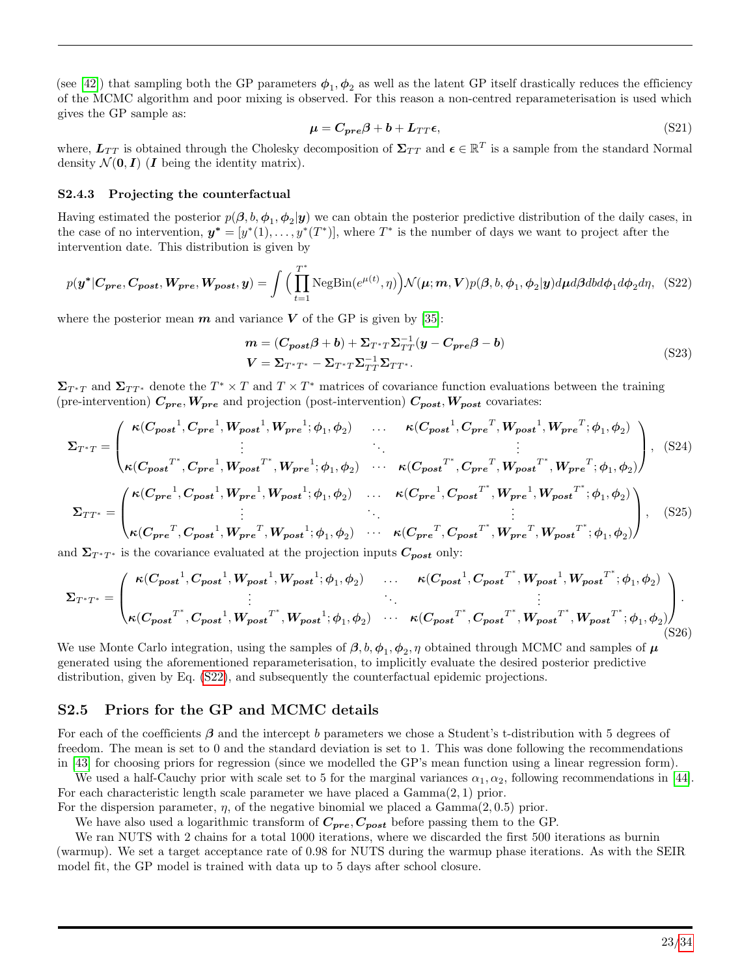(see [\[42\]](#page-16-10)) that sampling both the GP parameters  $\phi_1, \phi_2$  as well as the latent GP itself drastically reduces the efficiency of the MCMC algorithm and poor mixing is observed. For this reason a non-centred reparameterisation is used which gives the GP sample as:

$$
\mu = C_{pre}\beta + b + L_{TT}\epsilon,
$$
\n(S21)

where,  $L_{TT}$  is obtained through the Cholesky decomposition of  $\Sigma_{TT}$  and  $\epsilon \in \mathbb{R}^T$  is a sample from the standard Normal density  $\mathcal{N}(\mathbf{0}, I)$  (*I* being the identity matrix).

#### S2.4.3 Projecting the counterfactual

Having estimated the posterior  $p(\beta, b, \phi_1, \phi_2 | y)$  we can obtain the posterior predictive distribution of the daily cases, in the case of no intervention,  $y^* = [y^*(1), \ldots, y^*(T^*)]$ , where  $T^*$  is the number of days we want to project after the intervention date. This distribution is given by

<span id="page-22-0"></span>
$$
p(\boldsymbol{y}^*|\boldsymbol{C_{pre}},\boldsymbol{C_{post}},\boldsymbol{W_{pre}},\boldsymbol{W_{post}},\boldsymbol{y}) = \int \Big(\prod_{t=1}^{T^*} \text{NegBin}(e^{\mu(t)},\eta)\Big) \mathcal{N}(\boldsymbol{\mu};\boldsymbol{m},\boldsymbol{V}) p(\boldsymbol{\beta},\boldsymbol{b},\boldsymbol{\phi}_1,\boldsymbol{\phi}_2 | \boldsymbol{y}) d\boldsymbol{\mu} d\boldsymbol{\beta} d\boldsymbol{b} d\boldsymbol{\phi}_1 d\boldsymbol{\phi}_2 d\eta, \quad (S22)
$$

where the posterior mean  $m$  and variance V of the GP is given by [\[35\]](#page-16-5):

$$
m = (C_{post}\beta + b) + \Sigma_{T^*T}\Sigma_{TT}^{-1}(y - C_{pre}\beta - b)
$$
  
\n
$$
V = \Sigma_{T^*T^*} - \Sigma_{T^*T}\Sigma_{TT}^{-1}\Sigma_{TT^*}.
$$
\n(S23)

 $\Sigma_{T^*T}$  and  $\Sigma_{TT^*}$  denote the  $T^* \times T$  and  $T \times T^*$  matrices of covariance function evaluations between the training (pre-intervention)  $C_{pre}$ ,  $W_{pre}$  and projection (post-intervention)  $C_{post}$ ,  $W_{post}$  covariates:

$$
\Sigma_{T^*T} = \begin{pmatrix}\n\kappa(C_{post}^1, C_{pre}^1, W_{post}^1, W_{pre}^1; \phi_1, \phi_2) & \dots & \kappa(C_{post}^1, C_{pre}^T, W_{post}^1, W_{pre}^T; \phi_1, \phi_2) \\
\vdots & \vdots & \vdots \\
\kappa(C_{post}^T, C_{pre}^1, W_{post}^T, W_{pre}^1; \phi_1, \phi_2) & \dots & \kappa(C_{post}^T, C_{pre}^T, W_{post}^T, W_{pre}^T; \phi_1, \phi_2)\n\end{pmatrix}, (S24)
$$
\n
$$
\Sigma_{TT^*} = \begin{pmatrix}\n\kappa(C_{pre}^1, C_{post}^1, W_{pre}^1, W_{post}^1; \phi_1, \phi_2) & \dots & \kappa(C_{pre}^1, C_{post}^T, W_{post}^T, W_{post}^T; \phi_1, \phi_2) \\
\vdots & \vdots & \ddots & \vdots \\
\kappa(C_{pre}^T, C_{post}^1, W_{pre}^T, W_{post}^1; \phi_1, \phi_2) & \dots & \kappa(C_{pre}^T, C_{post}^T, W_{pre}^T, W_{post}^T; \phi_1, \phi_2)\n\end{pmatrix}, (S25)
$$
\nand  $\Sigma$  is the convergence subtated at the projection inputs  $C$ , only

and  $\Sigma_{T^*T^*}$  is the covariance evaluated at the projection inputs  $C_{post}$  only:

$$
\Sigma_{T^*T^*} = \begin{pmatrix} \kappa(C_{post}^{-1}, C_{post}^{-1}, W_{post}^{-1}, W_{post}^{-1}; \phi_1, \phi_2) & \dots & \kappa(C_{post}^{-1}, C_{post}^{-T^*}, W_{post}^{-1}, W_{post}^{-T^*}; \phi_1, \phi_2) \\ \vdots & \ddots & \vdots \\ \kappa(C_{post}^{-T^*}, C_{post}^{-1}, W_{post}^{-T^*}, W_{post}^{-1}; \phi_1, \phi_2) & \dots & \kappa(C_{post}^{-T^*}, C_{post}^{-T^*}, W_{post}^{-T^*}; \phi_1, \phi_2) \end{pmatrix} .
$$
\n(S26)

We use Monte Carlo integration, using the samples of  $\beta$ ,  $b$ ,  $\phi_1$ ,  $\phi_2$ ,  $\eta$  obtained through MCMC and samples of  $\mu$ generated using the aforementioned reparameterisation, to implicitly evaluate the desired posterior predictive distribution, given by Eq. [\(S22\)](#page-22-0), and subsequently the counterfactual epidemic projections.

#### S2.5 Priors for the GP and MCMC details

For each of the coefficients  $\beta$  and the intercept b parameters we chose a Student's t-distribution with 5 degrees of freedom. The mean is set to 0 and the standard deviation is set to 1. This was done following the recommendations in [\[43\]](#page-16-11) for choosing priors for regression (since we modelled the GP's mean function using a linear regression form).

We used a half-Cauchy prior with scale set to 5 for the marginal variances  $\alpha_1, \alpha_2$ , following recommendations in [\[44\]](#page-16-12). For each characteristic length scale parameter we have placed a  $Gamma(2, 1)$  prior.

For the dispersion parameter,  $\eta$ , of the negative binomial we placed a Gamma $(2, 0.5)$  prior.

We have also used a logarithmic transform of  $C_{pre}, C_{post}$  before passing them to the GP.

We ran NUTS with 2 chains for a total 1000 iterations, where we discarded the first 500 iterations as burnin (warmup). We set a target acceptance rate of 0.98 for NUTS during the warmup phase iterations. As with the SEIR model fit, the GP model is trained with data up to 5 days after school closure.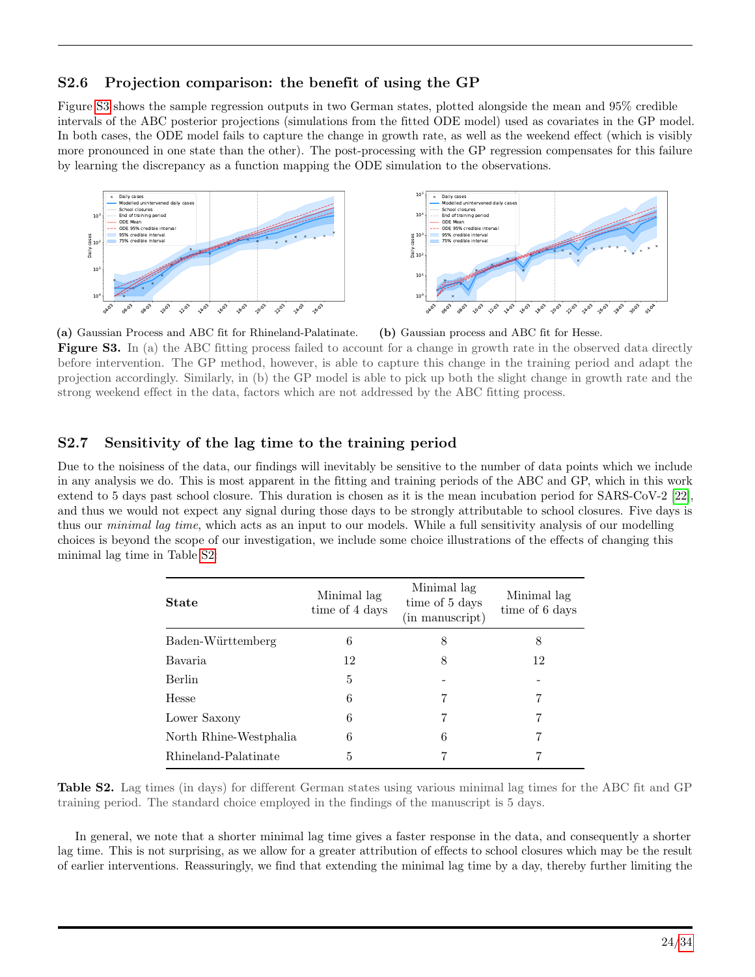## S2.6 Projection comparison: the benefit of using the GP

Figure [S3](#page-23-0) shows the sample regression outputs in two German states, plotted alongside the mean and 95% credible intervals of the ABC posterior projections (simulations from the fitted ODE model) used as covariates in the GP model. In both cases, the ODE model fails to capture the change in growth rate, as well as the weekend effect (which is visibly more pronounced in one state than the other). The post-processing with the GP regression compensates for this failure by learning the discrepancy as a function mapping the ODE simulation to the observations.

<span id="page-23-0"></span>

(a) Gaussian Process and ABC fit for Rhineland-Palatinate. (b) Gaussian process and ABC fit for Hesse.

Figure S3. In (a) the ABC fitting process failed to account for a change in growth rate in the observed data directly before intervention. The GP method, however, is able to capture this change in the training period and adapt the projection accordingly. Similarly, in (b) the GP model is able to pick up both the slight change in growth rate and the strong weekend effect in the data, factors which are not addressed by the ABC fitting process.

### S2.7 Sensitivity of the lag time to the training period

Due to the noisiness of the data, our findings will inevitably be sensitive to the number of data points which we include in any analysis we do. This is most apparent in the fitting and training periods of the ABC and GP, which in this work extend to 5 days past school closure. This duration is chosen as it is the mean incubation period for SARS-CoV-2 [\[22\]](#page-15-8), and thus we would not expect any signal during those days to be strongly attributable to school closures. Five days is thus our *minimal lag time*, which acts as an input to our models. While a full sensitivity analysis of our modelling choices is beyond the scope of our investigation, we include some choice illustrations of the effects of changing this minimal lag time in Table [S2:](#page-23-1)

<span id="page-23-1"></span>

| <b>State</b>           | Minimal lag<br>time of 4 days | Minimal lag<br>time of 5 days<br>(in manuscript) | Minimal lag<br>time of 6 days |
|------------------------|-------------------------------|--------------------------------------------------|-------------------------------|
| Baden-Württemberg      | 6                             | 8                                                | 8                             |
| Bavaria                | 12                            | 8                                                | 12                            |
| <b>Berlin</b>          | 5                             |                                                  |                               |
| <b>Hesse</b>           | 6                             | 7                                                | 7                             |
| Lower Saxony           | 6                             | 7                                                | 7                             |
| North Rhine-Westphalia | 6                             | 6                                                | 7                             |
| Rhineland-Palatinate   | 5                             |                                                  |                               |

Table S2. Lag times (in days) for different German states using various minimal lag times for the ABC fit and GP training period. The standard choice employed in the findings of the manuscript is 5 days.

In general, we note that a shorter minimal lag time gives a faster response in the data, and consequently a shorter lag time. This is not surprising, as we allow for a greater attribution of effects to school closures which may be the result of earlier interventions. Reassuringly, we find that extending the minimal lag time by a day, thereby further limiting the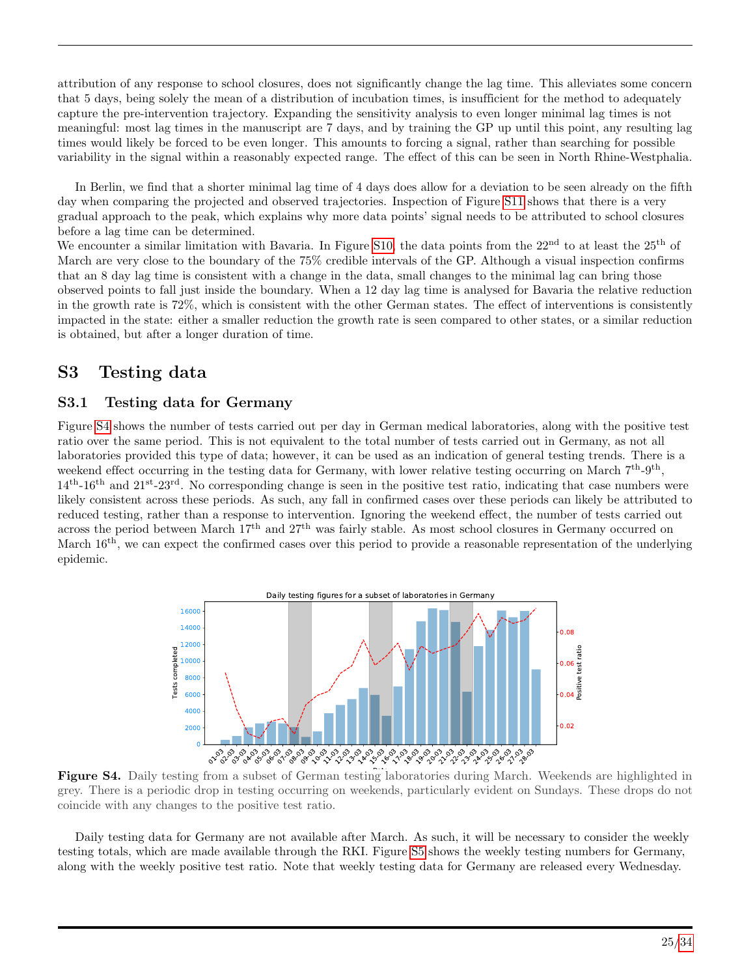attribution of any response to school closures, does not significantly change the lag time. This alleviates some concern that 5 days, being solely the mean of a distribution of incubation times, is insufficient for the method to adequately capture the pre-intervention trajectory. Expanding the sensitivity analysis to even longer minimal lag times is not meaningful: most lag times in the manuscript are 7 days, and by training the GP up until this point, any resulting lag times would likely be forced to be even longer. This amounts to forcing a signal, rather than searching for possible variability in the signal within a reasonably expected range. The effect of this can be seen in North Rhine-Westphalia.

In Berlin, we find that a shorter minimal lag time of 4 days does allow for a deviation to be seen already on the fifth day when comparing the projected and observed trajectories. Inspection of Figure [S11](#page-29-0) shows that there is a very gradual approach to the peak, which explains why more data points' signal needs to be attributed to school closures before a lag time can be determined.

We encounter a similar limitation with Bavaria. In Figure [S10,](#page-29-1) the data points from the  $22<sup>nd</sup>$  to at least the  $25<sup>th</sup>$  of March are very close to the boundary of the 75% credible intervals of the GP. Although a visual inspection confirms that an 8 day lag time is consistent with a change in the data, small changes to the minimal lag can bring those observed points to fall just inside the boundary. When a 12 day lag time is analysed for Bavaria the relative reduction in the growth rate is 72%, which is consistent with the other German states. The effect of interventions is consistently impacted in the state: either a smaller reduction the growth rate is seen compared to other states, or a similar reduction is obtained, but after a longer duration of time.

# S3 Testing data

## S3.1 Testing data for Germany

Figure [S4](#page-24-0) shows the number of tests carried out per day in German medical laboratories, along with the positive test ratio over the same period. This is not equivalent to the total number of tests carried out in Germany, as not all laboratories provided this type of data; however, it can be used as an indication of general testing trends. There is a weekend effect occurring in the testing data for Germany, with lower relative testing occurring on March  $7<sup>th</sup>-9<sup>th</sup>$ ,  $14<sup>th</sup>$ -16<sup>th</sup> and  $21<sup>st</sup>$ -23<sup>rd</sup>. No corresponding change is seen in the positive test ratio, indicating that case numbers were likely consistent across these periods. As such, any fall in confirmed cases over these periods can likely be attributed to reduced testing, rather than a response to intervention. Ignoring the weekend effect, the number of tests carried out across the period between March 17<sup>th</sup> and 27<sup>th</sup> was fairly stable. As most school closures in Germany occurred on March 16<sup>th</sup>, we can expect the confirmed cases over this period to provide a reasonable representation of the underlying epidemic.

<span id="page-24-0"></span>

Figure S4. Daily testing from a subset of German testing laboratories during March. Weekends are highlighted in grey. There is a periodic drop in testing occurring on weekends, particularly evident on Sundays. These drops do not coincide with any changes to the positive test ratio.

Daily testing data for Germany are not available after March. As such, it will be necessary to consider the weekly testing totals, which are made available through the RKI. Figure [S5](#page-25-0) shows the weekly testing numbers for Germany, along with the weekly positive test ratio. Note that weekly testing data for Germany are released every Wednesday.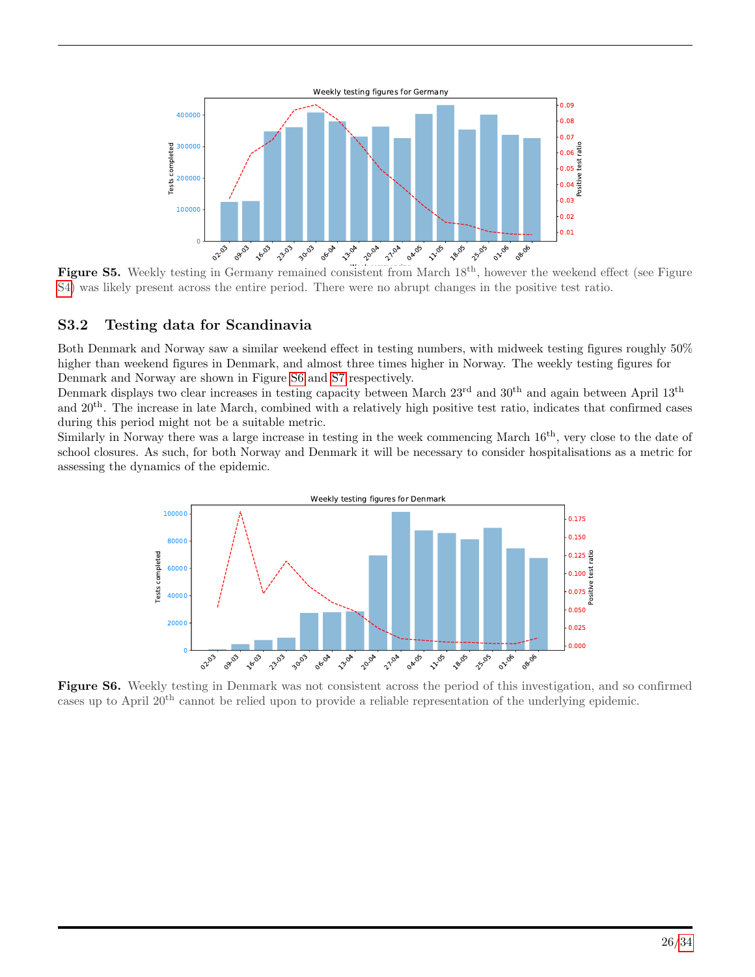<span id="page-25-0"></span>

Figure S5. Weekly testing in Germany remained consistent from March 18<sup>th</sup>, however the weekend effect (see Figure [S4\)](#page-24-0) was likely present across the entire period. There were no abrupt changes in the positive test ratio.

## S3.2 Testing data for Scandinavia

Both Denmark and Norway saw a similar weekend effect in testing numbers, with midweek testing figures roughly 50% higher than weekend figures in Denmark, and almost three times higher in Norway. The weekly testing figures for Denmark and Norway are shown in Figure [S6](#page-25-1) and [S7](#page-26-0) respectively.

Denmark displays two clear increases in testing capacity between March 23<sup>rd</sup> and 30<sup>th</sup> and again between April 13<sup>th</sup> and 20th. The increase in late March, combined with a relatively high positive test ratio, indicates that confirmed cases during this period might not be a suitable metric.

<span id="page-25-1"></span>Similarly in Norway there was a large increase in testing in the week commencing March  $16^{th}$ , very close to the date of school closures. As such, for both Norway and Denmark it will be necessary to consider hospitalisations as a metric for assessing the dynamics of the epidemic.



Figure S6. Weekly testing in Denmark was not consistent across the period of this investigation, and so confirmed cases up to April 20th cannot be relied upon to provide a reliable representation of the underlying epidemic.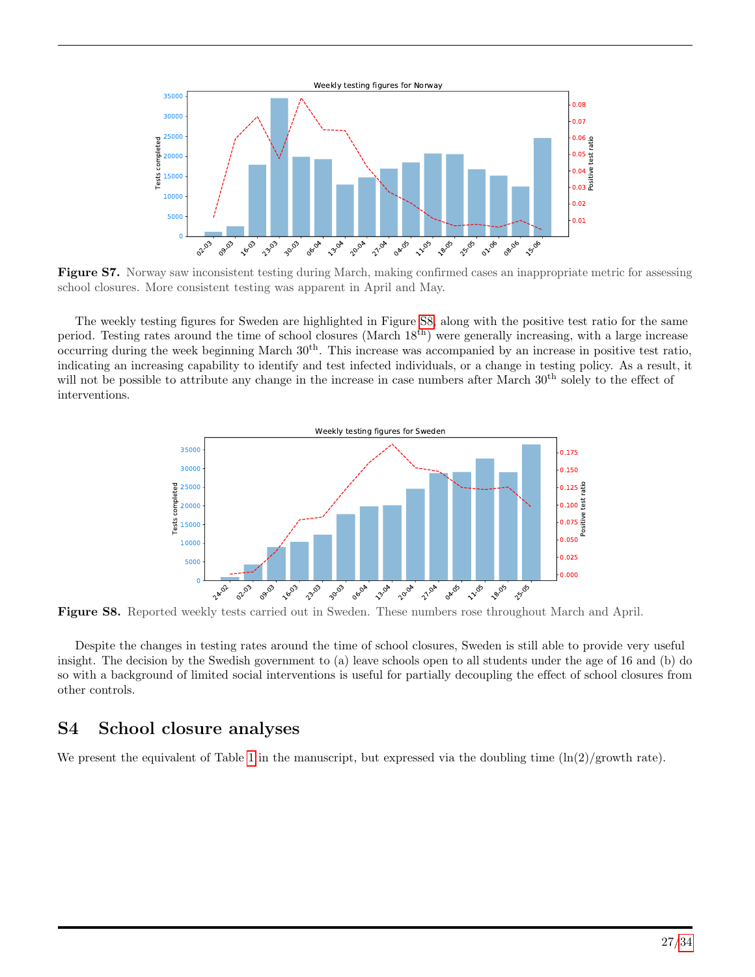<span id="page-26-0"></span>

Figure S7. Norway saw inconsistent testing during March, making confirmed cases an inappropriate metric for assessing school closures. More consistent testing was apparent in April and May.

<span id="page-26-1"></span>The weekly testing figures for Sweden are highlighted in Figure [S8,](#page-26-1) along with the positive test ratio for the same period. Testing rates around the time of school closures (March 18th) were generally increasing, with a large increase occurring during the week beginning March  $30<sup>th</sup>$ . This increase was accompanied by an increase in positive test ratio, indicating an increasing capability to identify and test infected individuals, or a change in testing policy. As a result, it will not be possible to attribute any change in the increase in case numbers after March  $30<sup>th</sup>$  solely to the effect of interventions.



Figure S8. Reported weekly tests carried out in Sweden. These numbers rose throughout March and April.

Despite the changes in testing rates around the time of school closures, Sweden is still able to provide very useful insight. The decision by the Swedish government to (a) leave schools open to all students under the age of 16 and (b) do so with a background of limited social interventions is useful for partially decoupling the effect of school closures from other controls.

# S4 School closure analyses

We present the equivalent of Table [1](#page-4-0) in the manuscript, but expressed via the doubling time  $(\ln(2)/g_{\text{row}})$  rate).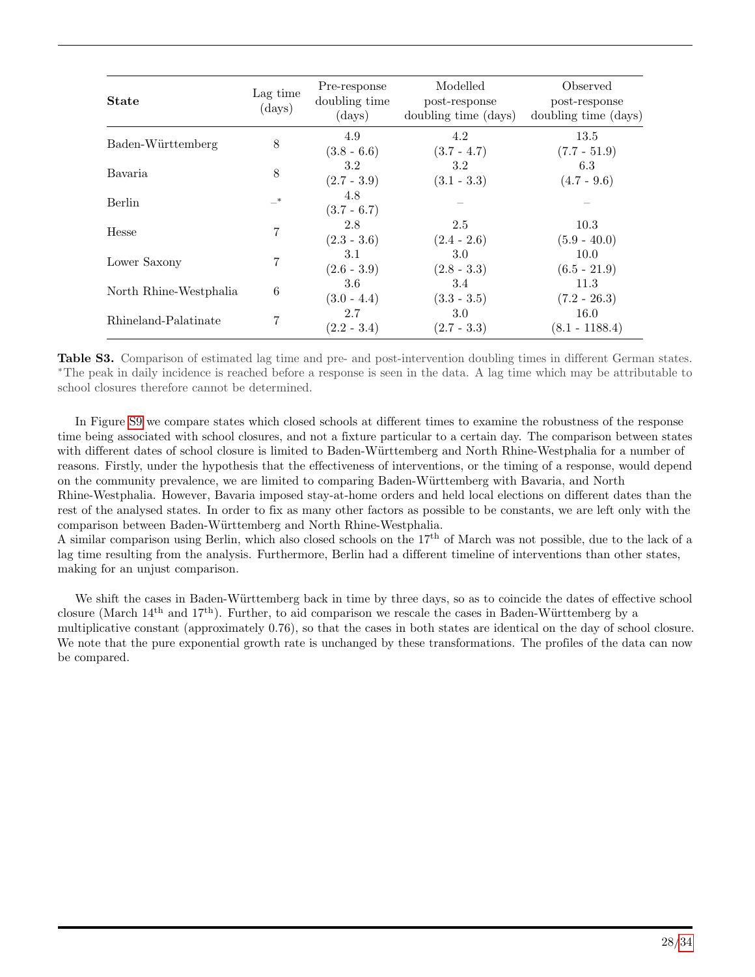| <b>State</b>           | Lag time<br>(days) | Pre-response<br>doubling time<br>$\rm (days)$ | Modelled<br>post-response<br>doubling time (days) | Observed<br>post-response<br>doubling time (days) |
|------------------------|--------------------|-----------------------------------------------|---------------------------------------------------|---------------------------------------------------|
| Baden-Württemberg      | 8                  | 4.9<br>$(3.8 - 6.6)$                          | 4.2<br>$(3.7 - 4.7)$                              | 13.5<br>$(7.7 - 51.9)$                            |
| Bavaria.               | 8                  | 3.2<br>$(2.7 - 3.9)$                          | $3.2\phantom{0}$<br>$(3.1 - 3.3)$                 | 6.3<br>$(4.7 - 9.6)$                              |
| <b>Berlin</b>          | $\rightarrow$      | 4.8<br>$(3.7 - 6.7)$                          |                                                   |                                                   |
| Hesse                  | 7                  | 2.8<br>$(2.3 - 3.6)$                          | 2.5<br>$(2.4 - 2.6)$                              | 10.3<br>$(5.9 - 40.0)$                            |
| Lower Saxony           |                    | 3.1<br>$(2.6 - 3.9)$                          | 3.0<br>$(2.8 - 3.3)$                              | 10.0<br>$(6.5 - 21.9)$                            |
| North Rhine-Westphalia | 6                  | 3.6<br>$(3.0 - 4.4)$                          | 3.4<br>$(3.3 - 3.5)$                              | 11.3<br>$(7.2 - 26.3)$                            |
| Rhineland-Palatinate   |                    | 2.7<br>$(2.2 - 3.4)$                          | 3.0<br>$(2.7 - 3.3)$                              | 16.0<br>$(8.1 - 1188.4)$                          |

Table S3. Comparison of estimated lag time and pre- and post-intervention doubling times in different German states. <sup>∗</sup>The peak in daily incidence is reached before a response is seen in the data. A lag time which may be attributable to school closures therefore cannot be determined.

In Figure [S9](#page-28-0) we compare states which closed schools at different times to examine the robustness of the response time being associated with school closures, and not a fixture particular to a certain day. The comparison between states with different dates of school closure is limited to Baden-Württemberg and North Rhine-Westphalia for a number of reasons. Firstly, under the hypothesis that the effectiveness of interventions, or the timing of a response, would depend on the community prevalence, we are limited to comparing Baden-W¨urttemberg with Bavaria, and North Rhine-Westphalia. However, Bavaria imposed stay-at-home orders and held local elections on different dates than the rest of the analysed states. In order to fix as many other factors as possible to be constants, we are left only with the comparison between Baden-W¨urttemberg and North Rhine-Westphalia.

A similar comparison using Berlin, which also closed schools on the  $17<sup>th</sup>$  of March was not possible, due to the lack of a lag time resulting from the analysis. Furthermore, Berlin had a different timeline of interventions than other states, making for an unjust comparison.

We shift the cases in Baden-Württemberg back in time by three days, so as to coincide the dates of effective school closure (March  $14^{th}$  and  $17^{th}$ ). Further, to aid comparison we rescale the cases in Baden-Württemberg by a multiplicative constant (approximately 0.76), so that the cases in both states are identical on the day of school closure. We note that the pure exponential growth rate is unchanged by these transformations. The profiles of the data can now be compared.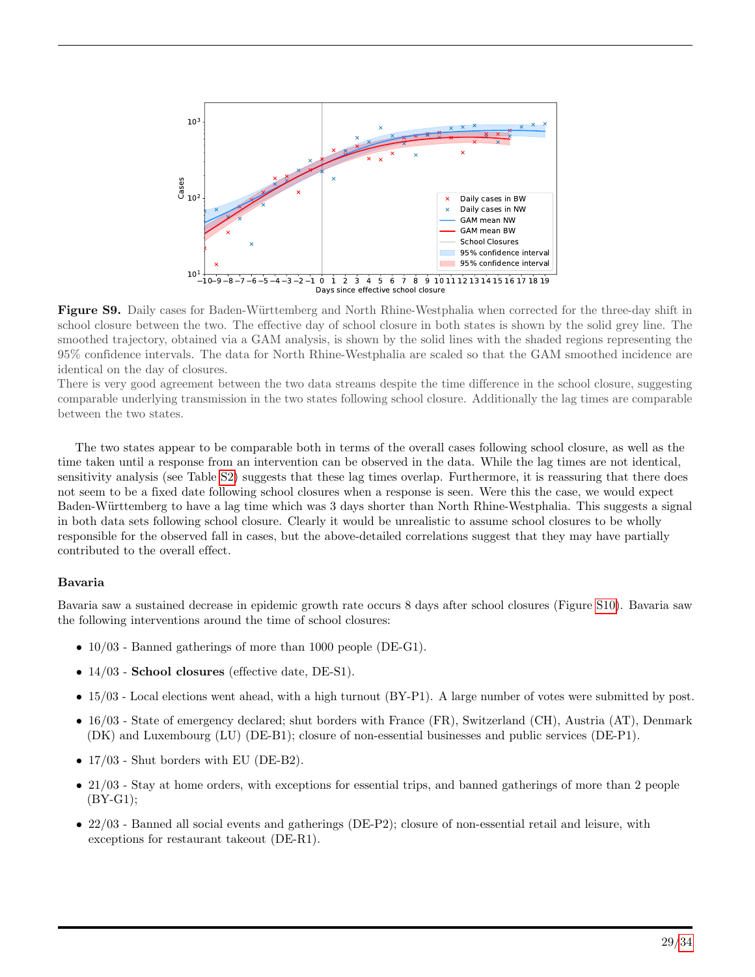<span id="page-28-0"></span>

Figure S9. Daily cases for Baden-Württemberg and North Rhine-Westphalia when corrected for the three-day shift in school closure between the two. The effective day of school closure in both states is shown by the solid grey line. The smoothed trajectory, obtained via a GAM analysis, is shown by the solid lines with the shaded regions representing the 95% confidence intervals. The data for North Rhine-Westphalia are scaled so that the GAM smoothed incidence are identical on the day of closures.

There is very good agreement between the two data streams despite the time difference in the school closure, suggesting comparable underlying transmission in the two states following school closure. Additionally the lag times are comparable between the two states.

The two states appear to be comparable both in terms of the overall cases following school closure, as well as the time taken until a response from an intervention can be observed in the data. While the lag times are not identical, sensitivity analysis (see Table [S2\)](#page-23-1) suggests that these lag times overlap. Furthermore, it is reassuring that there does not seem to be a fixed date following school closures when a response is seen. Were this the case, we would expect Baden-Württemberg to have a lag time which was 3 days shorter than North Rhine-Westphalia. This suggests a signal in both data sets following school closure. Clearly it would be unrealistic to assume school closures to be wholly responsible for the observed fall in cases, but the above-detailed correlations suggest that they may have partially contributed to the overall effect.

#### Bavaria

Bavaria saw a sustained decrease in epidemic growth rate occurs 8 days after school closures (Figure [S10\)](#page-29-1). Bavaria saw the following interventions around the time of school closures:

- $10/03$  Banned gatherings of more than 1000 people (DE-G1).
- 14/03 School closures (effective date, DE-S1).
- 15/03 Local elections went ahead, with a high turnout (BY-P1). A large number of votes were submitted by post.
- 16/03 State of emergency declared; shut borders with France (FR), Switzerland (CH), Austria (AT), Denmark (DK) and Luxembourg (LU) (DE-B1); closure of non-essential businesses and public services (DE-P1).
- 17/03 Shut borders with EU (DE-B2).
- 21/03 Stay at home orders, with exceptions for essential trips, and banned gatherings of more than 2 people (BY-G1);
- 22/03 Banned all social events and gatherings (DE-P2); closure of non-essential retail and leisure, with exceptions for restaurant takeout (DE-R1).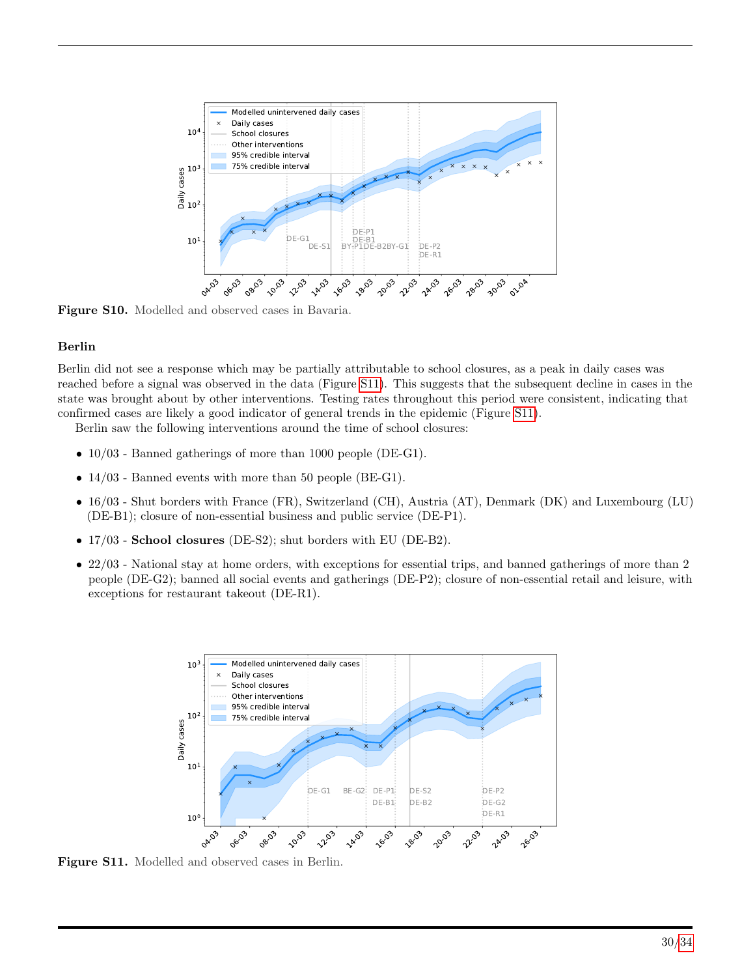<span id="page-29-1"></span>

Figure S10. Modelled and observed cases in Bavaria.

#### Berlin

Berlin did not see a response which may be partially attributable to school closures, as a peak in daily cases was reached before a signal was observed in the data (Figure [S11\)](#page-29-0). This suggests that the subsequent decline in cases in the state was brought about by other interventions. Testing rates throughout this period were consistent, indicating that confirmed cases are likely a good indicator of general trends in the epidemic (Figure [S11\)](#page-29-0).

Berlin saw the following interventions around the time of school closures:

- 10/03 Banned gatherings of more than 1000 people (DE-G1).
- 14/03 Banned events with more than 50 people (BE-G1).
- 16/03 Shut borders with France (FR), Switzerland (CH), Austria (AT), Denmark (DK) and Luxembourg (LU) (DE-B1); closure of non-essential business and public service (DE-P1).
- 17/03 School closures (DE-S2); shut borders with EU (DE-B2).
- <span id="page-29-0"></span>• 22/03 - National stay at home orders, with exceptions for essential trips, and banned gatherings of more than 2 people (DE-G2); banned all social events and gatherings (DE-P2); closure of non-essential retail and leisure, with exceptions for restaurant takeout (DE-R1).



Figure S11. Modelled and observed cases in Berlin.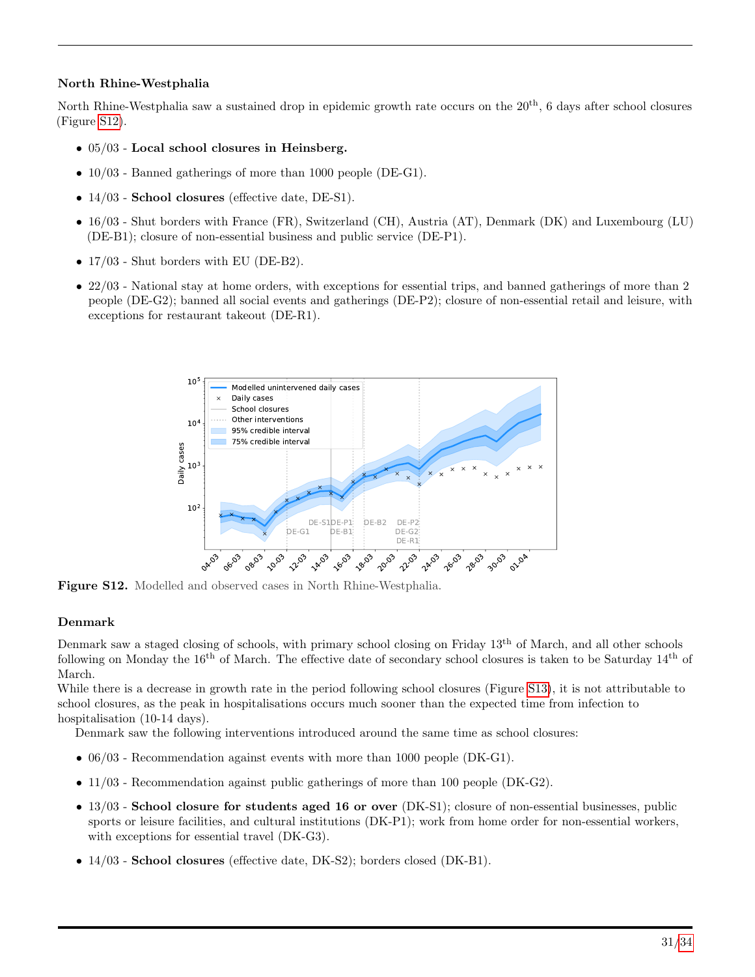### North Rhine-Westphalia

North Rhine-Westphalia saw a sustained drop in epidemic growth rate occurs on the 20<sup>th</sup>, 6 days after school closures (Figure [S12\)](#page-30-0).

- 05/03 Local school closures in Heinsberg.
- $10/03$  Banned gatherings of more than 1000 people (DE-G1).
- 14/03 **School closures** (effective date, DE-S1).
- 16/03 Shut borders with France (FR), Switzerland (CH), Austria (AT), Denmark (DK) and Luxembourg (LU) (DE-B1); closure of non-essential business and public service (DE-P1).
- 17/03 Shut borders with EU (DE-B2).
- <span id="page-30-0"></span>• 22/03 - National stay at home orders, with exceptions for essential trips, and banned gatherings of more than 2 people (DE-G2); banned all social events and gatherings (DE-P2); closure of non-essential retail and leisure, with exceptions for restaurant takeout (DE-R1).



Figure S12. Modelled and observed cases in North Rhine-Westphalia.

### Denmark

Denmark saw a staged closing of schools, with primary school closing on Friday 13th of March, and all other schools following on Monday the  $16<sup>th</sup>$  of March. The effective date of secondary school closures is taken to be Saturday  $14<sup>th</sup>$  of March.

While there is a decrease in growth rate in the period following school closures (Figure [S13\)](#page-31-0), it is not attributable to school closures, as the peak in hospitalisations occurs much sooner than the expected time from infection to hospitalisation (10-14 days).

Denmark saw the following interventions introduced around the same time as school closures:

- 06/03 Recommendation against events with more than 1000 people (DK-G1).
- 11/03 Recommendation against public gatherings of more than 100 people (DK-G2).
- 13/03 School closure for students aged 16 or over (DK-S1); closure of non-essential businesses, public sports or leisure facilities, and cultural institutions (DK-P1); work from home order for non-essential workers, with exceptions for essential travel  $(DK-G3)$ .
- 14/03 School closures (effective date, DK-S2); borders closed (DK-B1).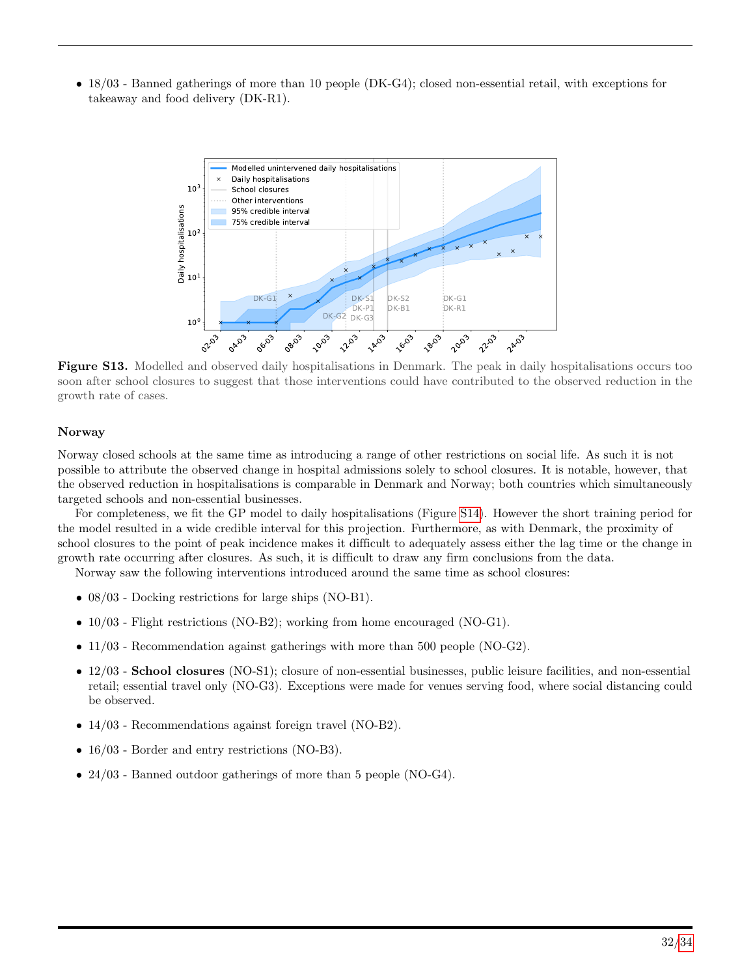<span id="page-31-0"></span>• 18/03 - Banned gatherings of more than 10 people (DK-G4); closed non-essential retail, with exceptions for takeaway and food delivery (DK-R1).



Figure S13. Modelled and observed daily hospitalisations in Denmark. The peak in daily hospitalisations occurs too soon after school closures to suggest that those interventions could have contributed to the observed reduction in the growth rate of cases.

#### Norway

Norway closed schools at the same time as introducing a range of other restrictions on social life. As such it is not possible to attribute the observed change in hospital admissions solely to school closures. It is notable, however, that the observed reduction in hospitalisations is comparable in Denmark and Norway; both countries which simultaneously targeted schools and non-essential businesses.

For completeness, we fit the GP model to daily hospitalisations (Figure [S14\)](#page-32-0). However the short training period for the model resulted in a wide credible interval for this projection. Furthermore, as with Denmark, the proximity of school closures to the point of peak incidence makes it difficult to adequately assess either the lag time or the change in growth rate occurring after closures. As such, it is difficult to draw any firm conclusions from the data.

Norway saw the following interventions introduced around the same time as school closures:

- 08/03 Docking restrictions for large ships (NO-B1).
- 10/03 Flight restrictions (NO-B2); working from home encouraged (NO-G1).
- 11/03 Recommendation against gatherings with more than 500 people (NO-G2).
- 12/03 School closures (NO-S1); closure of non-essential businesses, public leisure facilities, and non-essential retail; essential travel only (NO-G3). Exceptions were made for venues serving food, where social distancing could be observed.
- 14/03 Recommendations against foreign travel (NO-B2).
- 16/03 Border and entry restrictions (NO-B3).
- 24/03 Banned outdoor gatherings of more than 5 people (NO-G4).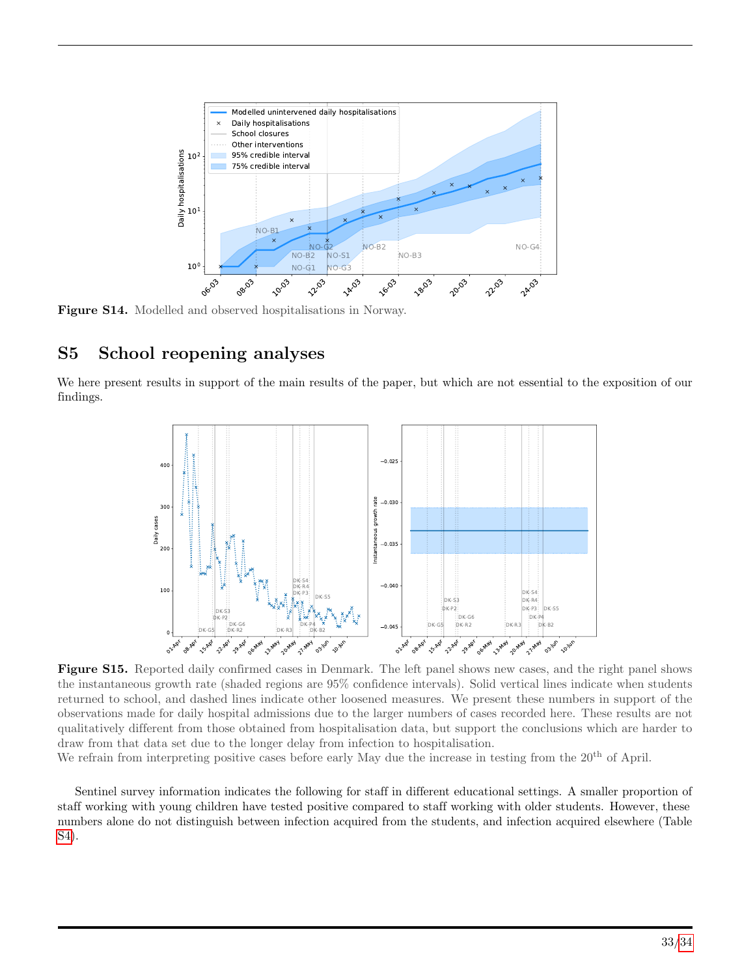<span id="page-32-0"></span>

Figure S14. Modelled and observed hospitalisations in Norway.

# S5 School reopening analyses

We here present results in support of the main results of the paper, but which are not essential to the exposition of our findings.



Figure S15. Reported daily confirmed cases in Denmark. The left panel shows new cases, and the right panel shows the instantaneous growth rate (shaded regions are 95% confidence intervals). Solid vertical lines indicate when students returned to school, and dashed lines indicate other loosened measures. We present these numbers in support of the observations made for daily hospital admissions due to the larger numbers of cases recorded here. These results are not qualitatively different from those obtained from hospitalisation data, but support the conclusions which are harder to draw from that data set due to the longer delay from infection to hospitalisation.

We refrain from interpreting positive cases before early May due the increase in testing from the 20<sup>th</sup> of April.

Sentinel survey information indicates the following for staff in different educational settings. A smaller proportion of staff working with young children have tested positive compared to staff working with older students. However, these numbers alone do not distinguish between infection acquired from the students, and infection acquired elsewhere (Table [S4\)](#page-33-1).